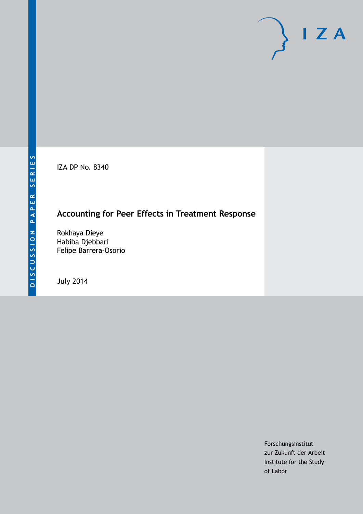IZA DP No. 8340

## **Accounting for Peer Effects in Treatment Response**

Rokhaya Dieye Habiba Djebbari Felipe Barrera-Osorio

July 2014

Forschungsinstitut zur Zukunft der Arbeit Institute for the Study of Labor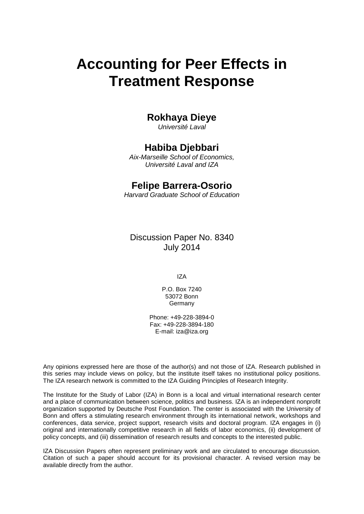# **Accounting for Peer Effects in Treatment Response**

## **Rokhaya Dieye**

*Université Laval*

## **Habiba Djebbari**

*Aix-Marseille School of Economics, Université Laval and IZA*

## **Felipe Barrera-Osorio**

*Harvard Graduate School of Education*

Discussion Paper No. 8340 July 2014

IZA

P.O. Box 7240 53072 Bonn **Germany** 

Phone: +49-228-3894-0 Fax: +49-228-3894-180 E-mail: [iza@iza.org](mailto:iza@iza.org)

Any opinions expressed here are those of the author(s) and not those of IZA. Research published in this series may include views on policy, but the institute itself takes no institutional policy positions. The IZA research network is committed to the IZA Guiding Principles of Research Integrity.

The Institute for the Study of Labor (IZA) in Bonn is a local and virtual international research center and a place of communication between science, politics and business. IZA is an independent nonprofit organization supported by Deutsche Post Foundation. The center is associated with the University of Bonn and offers a stimulating research environment through its international network, workshops and conferences, data service, project support, research visits and doctoral program. IZA engages in (i) original and internationally competitive research in all fields of labor economics, (ii) development of policy concepts, and (iii) dissemination of research results and concepts to the interested public.

<span id="page-1-0"></span>IZA Discussion Papers often represent preliminary work and are circulated to encourage discussion. Citation of such a paper should account for its provisional character. A revised version may be available directly from the author.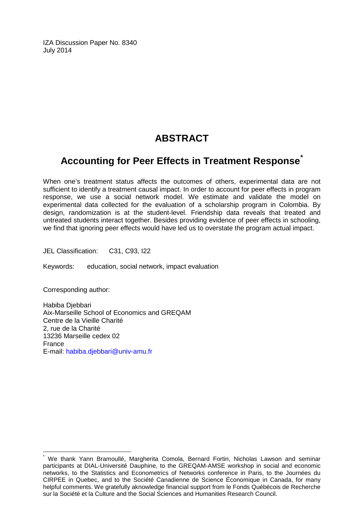IZA Discussion Paper No. 8340 July 2014

## **ABSTRACT**

## **Accounting for Peer Effects in Treatment Response[\\*](#page-1-0)**

When one's treatment status affects the outcomes of others, experimental data are not sufficient to identify a treatment causal impact. In order to account for peer effects in program response, we use a social network model. We estimate and validate the model on experimental data collected for the evaluation of a scholarship program in Colombia. By design, randomization is at the student-level. Friendship data reveals that treated and untreated students interact together. Besides providing evidence of peer effects in schooling, we find that ignoring peer effects would have led us to overstate the program actual impact.

JEL Classification: C31, C93, I22

Keywords: education, social network, impact evaluation

Corresponding author:

Habiba Djebbari Aix-Marseille School of Economics and GREQAM Centre de la Vieille Charité 2, rue de la Charité 13236 Marseille cedex 02 France E-mail: [habiba.djebbari@univ-amu.fr](mailto:habiba.djebbari@univ-amu.fr)

We thank Yann Bramoullé, Margherita Comola, Bernard Fortin, Nicholas Lawson and seminar participants at DIAL-Université Dauphine, to the GREQAM-AMSE workshop in social and economic networks, to the Statistics and Econometrics of Networks conference in Paris, to the Journées du CIRPEE in Quebec, and to the Société Canadienne de Science Économique in Canada, for many helpful comments. We gratefully aknowledge financial support from le Fonds Québécois de Recherche sur la Société et la Culture and the Social Sciences and Humanities Research Council.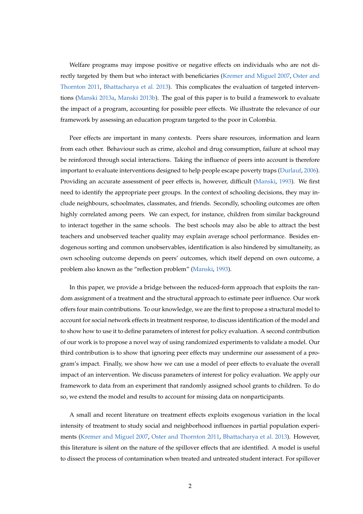Welfare programs may impose positive or negative effects on individuals who are not directly targeted by them but who interact with beneficiaries [\(Kremer and Miguel](#page-25-0) [2007,](#page-25-0) [Oster and](#page-25-1) [Thornton](#page-25-1) [2011,](#page-25-1) [Bhattacharya et al.](#page-24-0) [2013\)](#page-24-0). This complicates the evaluation of targeted interventions [\(Manski](#page-25-2) [2013a,](#page-25-2) [Manski](#page-25-3) [2013b\)](#page-25-3). The goal of this paper is to build a framework to evaluate the impact of a program, accounting for possible peer effects. We illustrate the relevance of our framework by assessing an education program targeted to the poor in Colombia.

Peer effects are important in many contexts. Peers share resources, information and learn from each other. Behaviour such as crime, alcohol and drug consumption, failure at school may be reinforced through social interactions. Taking the influence of peers into account is therefore important to evaluate interventions designed to help people escape poverty traps [\(Durlauf,](#page-24-1) [2006\)](#page-24-1). Providing an accurate assessment of peer effects is, however, difficult [\(Manski,](#page-25-4) [1993\)](#page-25-4). We first need to identify the appropriate peer groups. In the context of schooling decisions, they may include neighbours, schoolmates, classmates, and friends. Secondly, schooling outcomes are often highly correlated among peers. We can expect, for instance, children from similar background to interact together in the same schools. The best schools may also be able to attract the best teachers and unobserved teacher quality may explain average school performance. Besides endogenous sorting and common unobservables, identification is also hindered by simultaneity, as own schooling outcome depends on peers' outcomes, which itself depend on own outcome, a problem also known as the "reflection problem" [\(Manski,](#page-25-4) [1993\)](#page-25-4).

In this paper, we provide a bridge between the reduced-form approach that exploits the random assignment of a treatment and the structural approach to estimate peer influence. Our work offers four main contributions. To our knowledge, we are the first to propose a structural model to account for social network effects in treatment response, to discuss identification of the model and to show how to use it to define parameters of interest for policy evaluation. A second contribution of our work is to propose a novel way of using randomized experiments to validate a model. Our third contribution is to show that ignoring peer effects may undermine our assessment of a program's impact. Finally, we show how we can use a model of peer effects to evaluate the overall impact of an intervention. We discuss parameters of interest for policy evaluation. We apply our framework to data from an experiment that randomly assigned school grants to children. To do so, we extend the model and results to account for missing data on nonparticipants.

A small and recent literature on treatment effects exploits exogenous variation in the local intensity of treatment to study social and neighborhood influences in partial population experiments [\(Kremer and Miguel](#page-25-0) [2007,](#page-25-0) [Oster and Thornton](#page-25-1) [2011,](#page-25-1) [Bhattacharya et al.](#page-24-0) [2013\)](#page-24-0). However, this literature is silent on the nature of the spillover effects that are identified. A model is useful to dissect the process of contamination when treated and untreated student interact. For spillover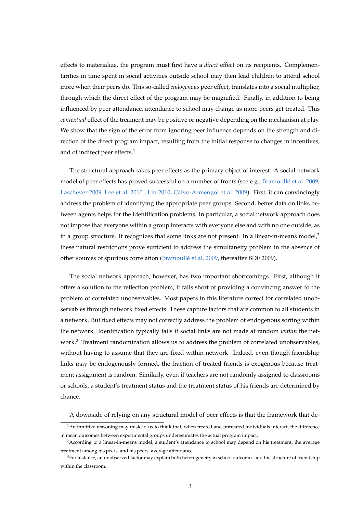effects to materialize, the program must first have a *direct* effect on its recipients. Complementarities in time spent in social activities outside school may then lead children to attend school more when their peers do. This so-called *endogenous* peer effect, translates into a social multiplier, through which the direct effect of the program may be magnified. Finally, in addition to being influenced by peer attendance, attendance to school may change as more peers get treated. This *contextual* effect of the treament may be positive or negative depending on the mechanism at play. We show that the sign of the error from ignoring peer influence depends on the strength and direction of the direct program impact, resulting from the initial response to changes in incentives, and of indirect peer effects.<sup>1</sup>

The structural approach takes peer effects as the primary object of interest. A social network model of peer effects has proved successful on a number of fronts (see e.g., [Bramoullé et al.](#page-24-2) [2009,](#page-24-2) [Laschever](#page-25-5) [2009,](#page-25-5) [Lee et al.](#page-25-6) [2010](#page-25-6) , [Lin](#page-25-7) [2010,](#page-25-7) [Calvo-Armengol et al.](#page-24-3) [2009\)](#page-24-3). First, it can convincingly address the problem of identifying the appropriate peer groups. Second, better data on links between agents helps for the identification problems. In particular, a social network approach does not impose that everyone within a group interacts with everyone else and with no one outside, as in a group structure. It recognizes that some links are not present. In a linear-in-means model, $\lambda$ these natural restrictions prove sufficient to address the simultaneity problem in the absence of other sources of spurious correlation [\(Bramoullé et al.](#page-24-2) [2009,](#page-24-2) thereafter BDF 2009).

The social network approach, however, has two important shortcomings. First, although it offers a solution to the reflection problem, it falls short of providing a convincing answer to the problem of correlated unobservables. Most papers in this literature correct for correlated unobservables through network fixed effects. These capture factors that are common to all students in a network. But fixed effects may not correctly address the problem of endogenous sorting within the network. Identification typically fails if social links are not made at random *within* the network.<sup>3</sup> Treatment randomization allows us to address the problem of correlated unobservables, without having to assume that they are fixed within network. Indeed, even though friendship links may be endogenously formed, the fraction of treated friends is exogenous because treatment assignment is random. Similarly, even if teachers are not randomly assigned to classrooms or schools, a student's treatment status and the treatment status of his friends are determined by chance.

A downside of relying on any structural model of peer effects is that the framework that de-

 $1$ An intuitive reasoning may mislead us to think that, when treated and untreated individuals interact, the difference in mean outcomes between experimental groups underestimates the actual program impact.

<sup>&</sup>lt;sup>2</sup> According to a linear-in-means model, a student's attendance to school may depend on his treatment, the average treatment among his peers, and his peers' average attendance.

<sup>&</sup>lt;sup>3</sup>For instance, an unobserved factor may explain both heterogeneity in school outcomes and the structure of friendship within the classroom.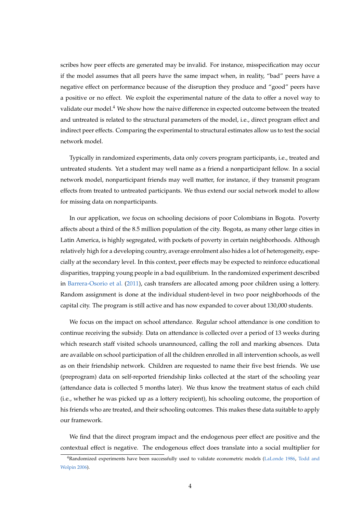scribes how peer effects are generated may be invalid. For instance, misspecification may occur if the model assumes that all peers have the same impact when, in reality, "bad" peers have a negative effect on performance because of the disruption they produce and "good" peers have a positive or no effect. We exploit the experimental nature of the data to offer a novel way to validate our model.<sup>4</sup> We show how the naive difference in expected outcome between the treated and untreated is related to the structural parameters of the model, i.e., direct program effect and indirect peer effects. Comparing the experimental to structural estimates allow us to test the social network model.

Typically in randomized experiments, data only covers program participants, i.e., treated and untreated students. Yet a student may well name as a friend a nonparticipant fellow. In a social network model, nonparticipant friends may well matter, for instance, if they transmit program effects from treated to untreated participants. We thus extend our social network model to allow for missing data on nonparticipants.

In our application, we focus on schooling decisions of poor Colombians in Bogota. Poverty affects about a third of the 8.5 million population of the city. Bogota, as many other large cities in Latin America, is highly segregated, with pockets of poverty in certain neighborhoods. Although relatively high for a developing country, average enrolment also hides a lot of heterogeneity, especially at the secondary level. In this context, peer effects may be expected to reinforce educational disparities, trapping young people in a bad equilibrium. In the randomized experiment described in [Barrera-Osorio et al.](#page-24-4) [\(2011\)](#page-24-4), cash transfers are allocated among poor children using a lottery. Random assignment is done at the individual student-level in two poor neighborhoods of the capital city. The program is still active and has now expanded to cover about 130,000 students.

We focus on the impact on school attendance. Regular school attendance is one condition to continue receiving the subsidy. Data on attendance is collected over a period of 13 weeks during which research staff visited schools unannounced, calling the roll and marking absences. Data are available on school participation of all the children enrolled in all intervention schools, as well as on their friendship network. Children are requested to name their five best friends. We use (preprogram) data on self-reported friendship links collected at the start of the schooling year (attendance data is collected 5 months later). We thus know the treatment status of each child (i.e., whether he was picked up as a lottery recipient), his schooling outcome, the proportion of his friends who are treated, and their schooling outcomes. This makes these data suitable to apply our framework.

We find that the direct program impact and the endogenous peer effect are positive and the contextual effect is negative. The endogenous effect does translate into a social multiplier for

<sup>4</sup>Randomized experiments have been successfully used to validate econometric models [\(LaLonde](#page-25-8) [1986,](#page-25-8) [Todd and](#page-26-0) [Wolpin](#page-26-0) [2006\)](#page-26-0).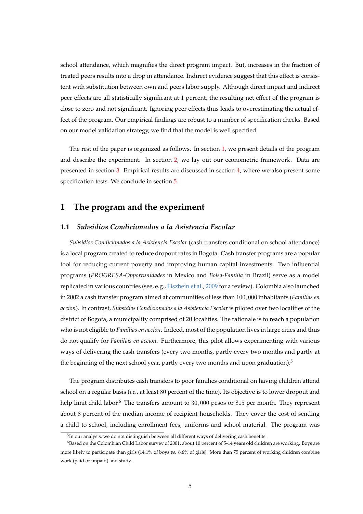school attendance, which magnifies the direct program impact. But, increases in the fraction of treated peers results into a drop in attendance. Indirect evidence suggest that this effect is consistent with substitution between own and peers labor supply. Although direct impact and indirect peer effects are all statistically significant at 1 percent, the resulting net effect of the program is close to zero and not significant. Ignoring peer effects thus leads to overestimating the actual effect of the program. Our empirical findings are robust to a number of specification checks. Based on our model validation strategy, we find that the model is well specified.

The rest of the paper is organized as follows. In section [1,](#page-6-0) we present details of the program and describe the experiment. In section [2,](#page-8-0) we lay out our econometric framework. Data are presented in section [3.](#page-15-0) Empirical results are discussed in section [4,](#page-17-0) where we also present some specification tests. We conclude in section [5.](#page-23-0)

### <span id="page-6-0"></span>**1 The program and the experiment**

#### **1.1** *Subsidios Condicionados a la Asistencia Escolar*

*Subsidios Condicionados a la Asistencia Escolar* (cash transfers conditional on school attendance) is a local program created to reduce dropout rates in Bogota. Cash transfer programs are a popular tool for reducing current poverty and improving human capital investments. Two influential programs (*PROGRESA-Opportunidades* in Mexico and *Bolsa-Familia* in Brazil) serve as a model replicated in various countries (see, e.g., [Fiszbein et al.,](#page-24-5) [2009](#page-24-5) for a review). Colombia also launched in 2002 a cash transfer program aimed at communities of less than 100, 000 inhabitants (*Familias en accion*). In contrast, *Subsidios Condicionados a la Asistencia Escolar* is piloted over two localities of the district of Bogota, a municipality comprised of 20 localities. The rationale is to reach a population who is not eligible to *Familias en accion*. Indeed, most of the population lives in large cities and thus do not qualify for *Familias en accion*. Furthermore, this pilot allows experimenting with various ways of delivering the cash transfers (every two months, partly every two months and partly at the beginning of the next school year, partly every two months and upon graduation). $5$ 

The program distributes cash transfers to poor families conditional on having children attend school on a regular basis (*i.e.*, at least 80 percent of the time). Its objective is to lower dropout and help limit child labor.<sup>6</sup> The transfers amount to 30,000 pesos or \$15 per month. They represent about 8 percent of the median income of recipient households. They cover the cost of sending a child to school, including enrollment fees, uniforms and school material. The program was

 $5$ In our analysis, we do not distinguish between all different ways of delivering cash benefits.

<sup>6</sup>Based on the Colombian Child Labor survey of 2001, about 10 percent of 5-14 years old children are working. Boys are more likely to participate than girls (14.1% of boys *vs.* 6.6% of girls). More than 75 percent of working children combine work (paid or unpaid) and study.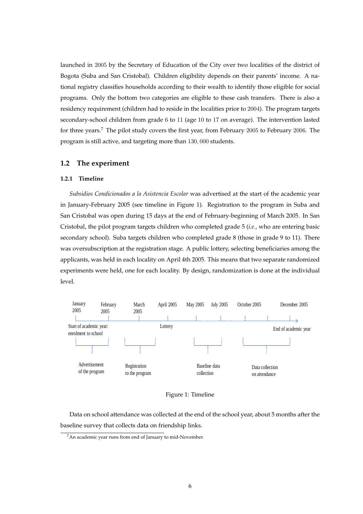launched in 2005 by the Secretary of Education of the City over two localities of the district of Bogota (Suba and San Cristobal). Children eligibility depends on their parents' income. A national registry classifies households according to their wealth to identify those eligible for social programs. Only the bottom two categories are eligible to these cash transfers. There is also a residency requirement (children had to reside in the localities prior to 2004). The program targets secondary-school children from grade 6 to 11 (age 10 to 17 on average). The intervention lasted for three years.<sup>7</sup> The pilot study covers the first year, from February 2005 to February 2006. The program is still active, and targeting more than 130, 000 students.

#### **1.2 The experiment**

#### **1.2.1 Timeline**

*Subsidios Condicionados a la Asistencia Escolar* was advertised at the start of the academic year in January-February 2005 (see timeline in Figure 1). Registration to the program in Suba and San Cristobal was open during 15 days at the end of February-beginning of March 2005. In San Cristobal, the pilot program targets children who completed grade 5 (*i.e.*, who are entering basic secondary school). Suba targets children who completed grade 8 (those in grade 9 to 11). There was oversubscription at the registration stage. A public lottery, selecting beneficiaries among the applicants, was held in each locality on April 4th 2005. This means that two separate randomized experiments were held, one for each locality. By design, randomization is done at the individual level.





Data on school attendance was collected at the end of the school year, about 5 months after the baseline survey that collects data on friendship links.

<sup>7</sup>An academic year runs from end of January to mid-November.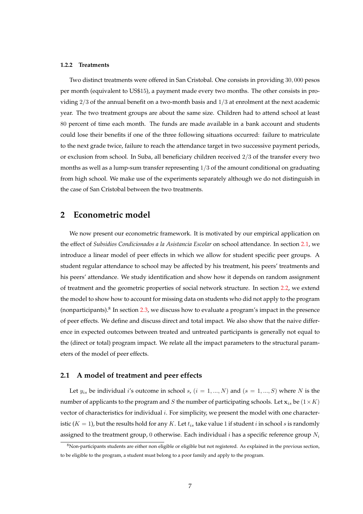#### **1.2.2 Treatments**

Two distinct treatments were offered in San Cristobal. One consists in providing 30, 000 pesos per month (equivalent to US\$15), a payment made every two months. The other consists in providing  $2/3$  of the annual benefit on a two-month basis and  $1/3$  at enrolment at the next academic year. The two treatment groups are about the same size. Children had to attend school at least 80 percent of time each month. The funds are made available in a bank account and students could lose their benefits if one of the three following situations occurred: failure to matriculate to the next grade twice, failure to reach the attendance target in two successive payment periods, or exclusion from school. In Suba, all beneficiary children received 2/3 of the transfer every two months as well as a lump-sum transfer representing  $1/3$  of the amount conditional on graduating from high school. We make use of the experiments separately although we do not distinguish in the case of San Cristobal between the two treatments.

### <span id="page-8-0"></span>**2 Econometric model**

We now present our econometric framework. It is motivated by our empirical application on the effect of *Subsidios Condicionados a la Asistancia Escolar* on school attendance. In section [2.1,](#page-8-1) we introduce a linear model of peer effects in which we allow for student specific peer groups. A student regular attendance to school may be affected by his treatment, his peers' treatments and his peers' attendance. We study identification and show how it depends on random assignment of treatment and the geometric properties of social network structure. In section [2.2,](#page-11-0) we extend the model to show how to account for missing data on students who did not apply to the program (nonparticipants).<sup>8</sup> In section [2.3,](#page-12-0) we discuss how to evaluate a program's impact in the presence of peer effects. We define and discuss direct and total impact. We also show that the naive difference in expected outcomes between treated and untreated participants is generally not equal to the (direct or total) program impact. We relate all the impact parameters to the structural parameters of the model of peer effects.

#### <span id="page-8-1"></span>**2.1 A model of treatment and peer effects**

Let  $y_{is}$  be individual i's outcome in school s,  $(i = 1, ..., N)$  and  $(s = 1, ..., S)$  where N is the number of applicants to the program and S the number of participating schools. Let  $x_{is}$  be  $(1 \times K)$ vector of characteristics for individual i. For simplicity, we present the model with one characteristic  $(K = 1)$ , but the results hold for any K. Let  $t_{is}$  take value 1 if student i in school s is randomly assigned to the treatment group, 0 otherwise. Each individual i has a specific reference group  $N_i$ 

<sup>8</sup>Non-participants students are either non eligible or eligible but not registered. As explained in the previous section, to be eligible to the program, a student must belong to a poor family and apply to the program.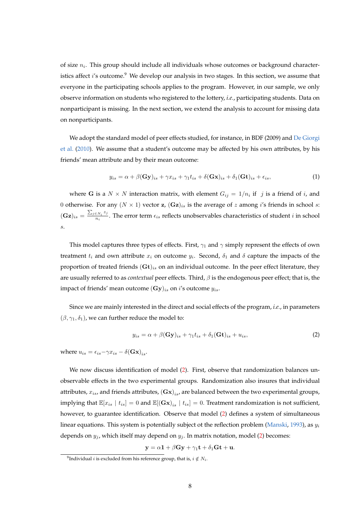of size  $n_i$ . This group should include all individuals whose outcomes or background characteristics affect i's outcome.<sup>9</sup> We develop our analysis in two stages. In this section, we assume that everyone in the participating schools applies to the program. However, in our sample, we only observe information on students who registered to the lottery, *i.e.*, participating students. Data on nonparticipant is missing. In the next section, we extend the analysis to account for missing data on nonparticipants.

We adopt the standard model of peer effects studied, for instance, in BDF (2009) and [De Giorgi](#page-24-6) [et al.](#page-24-6) [\(2010\)](#page-24-6). We assume that a student's outcome may be affected by his own attributes, by his friends' mean attribute and by their mean outcome:

$$
y_{is} = \alpha + \beta(\mathbf{Gy})_{is} + \gamma x_{is} + \gamma_1 t_{is} + \delta(\mathbf{Gx})_{is} + \delta_1(\mathbf{Gt})_{is} + \epsilon_{is},\tag{1}
$$

where G is a  $N \times N$  interaction matrix, with element  $G_{ij} = 1/n_i$  if  $j$  is a friend of i, and 0 otherwise. For any  $(N \times 1)$  vector **z**,  $(\mathbf{Gz})_{is}$  is the average of *z* among *i*'s friends in school *s*:  $(\mathbf{Gz})_{is} = \frac{\sum_{j \in N_i} z_j}{n_s}$  $\frac{\varepsilon_{N_i} + \varepsilon_{j}}{n_i}$ . The error term  $\epsilon_{is}$  reflects unobservables characteristics of student *i* in school s.

This model captures three types of effects. First,  $\gamma_1$  and  $\gamma$  simply represent the effects of own treatment  $t_i$  and own attribute  $x_i$  on outcome  $y_i$ . Second,  $\delta_1$  and  $\delta$  capture the impacts of the proportion of treated friends  $(\mathbf{Gt})_{is}$  on an individual outcome. In the peer effect literature, they are usually referred to as *contextual* peer effects. Third, β is the endogenous peer effect; that is, the impact of friends' mean outcome  $(Gy)_{is}$  on i's outcome  $y_{is}$ .

Since we are mainly interested in the direct and social effects of the program, *i.e.*, in parameters  $(\beta, \gamma_1, \delta_1)$ , we can further reduce the model to:

<span id="page-9-0"></span>
$$
y_{is} = \alpha + \beta(\mathbf{Gy})_{is} + \gamma_1 t_{is} + \delta_1(\mathbf{Gt})_{is} + u_{is},\tag{2}
$$

where  $u_{is} = \epsilon_{is} - \gamma x_{is} - \delta(\mathbf{Gx})_{is}$ .

We now discuss identification of model [\(2\)](#page-9-0). First, observe that randomization balances unobservable effects in the two experimental groups. Randomization also insures that individual attributes,  $x_{is}$ , and friends attributes,  ${\bf (Gx)}_{is}$ , are balanced between the two experimental groups, implying that  $\mathbb{E}[x_{is} | t_{is}] = 0$  and  $\mathbb{E}[(\mathbf{Gx})_{is} | t_{is}] = 0$ . Treatment randomization is not sufficient, however, to guarantee identification. Observe that model [\(2\)](#page-9-0) defines a system of simultaneous linear equations. This system is potentially subject ot the reflection problem [\(Manski,](#page-25-4) [1993\)](#page-25-4), as  $y_i$ depends on  $y_j$ , which itself may depend on  $y_j$ . In matrix notation, model [\(2\)](#page-9-0) becomes:

$$
\mathbf{y} = \alpha \mathbf{1} + \beta \mathbf{G} \mathbf{y} + \gamma_1 \mathbf{t} + \delta_1 \mathbf{G} \mathbf{t} + \mathbf{u}.
$$

<sup>&</sup>lt;sup>9</sup>Individual *i* is excluded from his reference group, that is,  $i \notin N_i$ .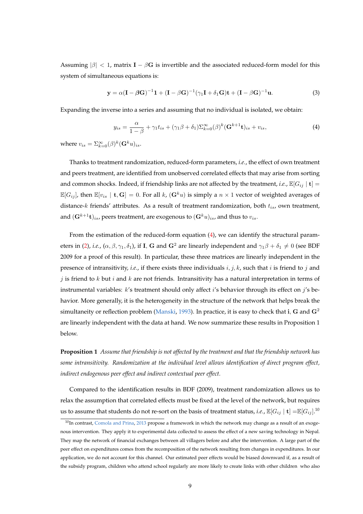Assuming  $|\beta| < 1$ , matrix **I** –  $\beta$ **G** is invertible and the associated reduced-form model for this system of simultaneous equations is:

<span id="page-10-1"></span>
$$
\mathbf{y} = \alpha (\mathbf{I} - \beta \mathbf{G})^{-1} \mathbf{1} + (\mathbf{I} - \beta \mathbf{G})^{-1} (\gamma_1 \mathbf{I} + \delta_1 \mathbf{G}) \mathbf{t} + (\mathbf{I} - \beta \mathbf{G})^{-1} \mathbf{u}.
$$
 (3)

Expanding the inverse into a series and assuming that no individual is isolated, we obtain:

<span id="page-10-0"></span>
$$
y_{is} = \frac{\alpha}{1-\beta} + \gamma_1 t_{is} + (\gamma_1 \beta + \delta_1) \sum_{k=0}^{\infty} (\beta)^k (\mathbf{G}^{k+1} \mathbf{t})_{is} + v_{is},\tag{4}
$$

where  $v_{is} = \sum_{k=0}^{\infty} (\beta)^k (\mathbf{G}^k u)_{is}.$ 

Thanks to treatment randomization, reduced-form parameters, *i.e.*, the effect of own treatment and peers treatment, are identified from unobserved correlated effects that may arise from sorting and common shocks. Indeed, if friendship links are not affected by the treatment, *i.e.*,  $\mathbb{E}[G_{ij} | t] =$  $\mathbb{E}[G_{ij}]$ , then  $\mathbb{E}[v_{is} | t, G] = 0$ . For all k,  $(G^k u)$  is simply a  $n \times 1$  vector of weighted averages of distance- $k$  friends' attributes. As a result of treatment randomization, both  $t_{is}$ , own treatment, and  $(\mathbf{G}^{k+1}\mathbf{t})_{is}$ , peers treatment, are exogenous to  $(\mathbf{G}^{k}u)_{is}$ , and thus to  $v_{is}$ .

From the estimation of the reduced-form equation [\(4\)](#page-10-0), we can identify the structural param-eters in [\(2\)](#page-9-0), *i.e.*, ( $\alpha$ ,  $\beta$ ,  $\gamma$ <sub>1</sub>,  $\delta$ <sub>1</sub>), if **I**, **G** and **G**<sup>2</sup> are linearly independent and  $\gamma$ <sub>1</sub> $\beta$  +  $\delta$ <sub>1</sub>  $\neq$  0 (see BDF 2009 for a proof of this result). In particular, these three matrices are linearly independent in the presence of intransitivity, *i.e.*, if there exists three individuals  $i, j, k$ , such that  $i$  is friend to  $j$  and j is friend to k but i and k are not friends. Intransitivity has a natural interpretation in terms of instrumental variables:  $k'$ s treatment should only affect  $i'$ s behavior through its effect on  $j'$ s behavior. More generally, it is the heterogeneity in the structure of the network that helps break the simultaneity or reflection problem [\(Manski,](#page-25-4) [1993\)](#page-25-4). In practice, it is easy to check that i, G and  $G^2$ are linearly independent with the data at hand. We now summarize these results in Proposition 1 below.

**Proposition 1** *Assume that friendship is not affected by the treatment and that the friendship network has some intransitivity. Randomization at the individual level allows identification of direct program effect, indirect endogenous peer effect and indirect contextual peer effect.*

Compared to the identification results in BDF (2009), treatment randomization allows us to relax the assumption that correlated effects must be fixed at the level of the network, but requires us to assume that students do not re-sort on the basis of treatment status, *i.e.,*  $\mathbb{E}[G_{ij} \mid \mathbf{t}] = \mathbb{E}[G_{ij}]^{10}$ 

 $10$ In contrast, [Comola and Prina,](#page-24-7) [2013](#page-24-7) propose a framework in which the network may change as a result of an exogenous intervention. They apply it to experimental data collected to assess the effect of a new saving technology in Nepal. They map the network of financial exchanges between all villagers before and after the intervention. A large part of the peer effect on expenditures comes from the recomposition of the network resulting from changes in expenditures. In our application, we do not account for this channel. Our estimated peer effects would be biased downward if, as a result of the subsidy program, children who attend school regularly are more likely to create links with other children who also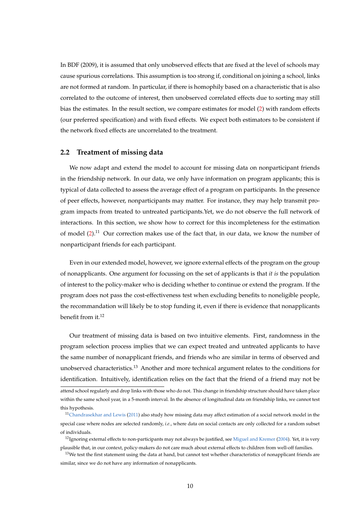In BDF (2009), it is assumed that only unobserved effects that are fixed at the level of schools may cause spurious correlations. This assumption is too strong if, conditional on joining a school, links are not formed at random. In particular, if there is homophily based on a characteristic that is also correlated to the outcome of interest, then unobserved correlated effects due to sorting may still bias the estimates. In the result section, we compare estimates for model [\(2\)](#page-9-0) with random effects (our preferred specification) and with fixed effects. We expect both estimators to be consistent if the network fixed effects are uncorrelated to the treatment.

#### <span id="page-11-0"></span>**2.2 Treatment of missing data**

We now adapt and extend the model to account for missing data on nonparticipant friends in the friendship network. In our data, we only have information on program applicants; this is typical of data collected to assess the average effect of a program on participants. In the presence of peer effects, however, nonparticipants may matter. For instance, they may help transmit program impacts from treated to untreated participants.Yet, we do not observe the full network of interactions. In this section, we show how to correct for this incompleteness for the estimation of model  $(2)$ .<sup>11</sup> Our correction makes use of the fact that, in our data, we know the number of nonparticipant friends for each participant.

Even in our extended model, however, we ignore external effects of the program on the group of nonapplicants. One argument for focussing on the set of applicants is that *it is* the population of interest to the policy-maker who is deciding whether to continue or extend the program. If the program does not pass the cost-effectiveness test when excluding benefits to noneligible people, the recommandation will likely be to stop funding it, even if there is evidence that nonapplicants benefit from it.<sup>12</sup>

Our treatment of missing data is based on two intuitive elements. First, randomness in the program selection process implies that we can expect treated and untreated applicants to have the same number of nonapplicant friends, and friends who are similar in terms of observed and unobserved characteristics.<sup>13</sup> Another and more technical argument relates to the conditions for identification. Intuitively, identification relies on the fact that the friend of a friend may not be

attend school regularly and drop links with those who do not. This change in friendship structure should have taken place within the same school year, in a 5-month interval. In the absence of longitudinal data on friendship links, we cannot test this hypothesis.

 $11$ [Chandrasekhar and Lewis](#page-24-8) [\(2011\)](#page-24-8) also study how missing data may affect estimation of a social network model in the special case where nodes are selected randomly, *i.e.*, where data on social contacts are only collected for a random subset of individuals.

<sup>&</sup>lt;sup>12</sup>Ignoring external effects to non-participants may not always be justified, see [Miguel and Kremer](#page-25-9) [\(2004\)](#page-25-9). Yet, it is very plausible that, in our context, policy-makers do not care much about external effects to children from well-off families.

 $13$ We test the first statement using the data at hand, but cannot test whether characteristics of nonapplicant friends are similar, since we do not have any information of nonapplicants.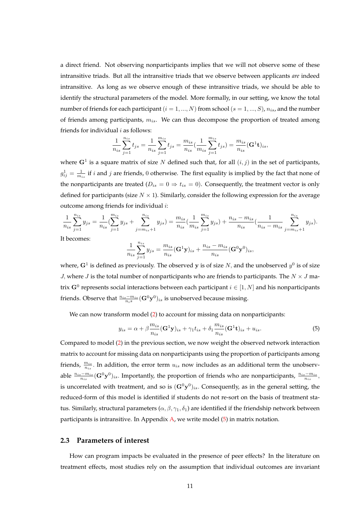a direct friend. Not observing nonparticipants implies that we will not observe some of these intransitive triads. But all the intransitive triads that we observe between applicants *are* indeed intransitive. As long as we observe enough of these intransitive triads, we should be able to identify the structural parameters of the model. More formally, in our setting, we know the total number of friends for each participant ( $i = 1, ..., N$ ) from school ( $s = 1, ..., S$ ),  $n_{is}$ , and the number of friends among participants,  $m_{is}$ . We can thus decompose the proportion of treated among friends for individual  $i$  as follows:

$$
\frac{1}{n_{is}}\sum_{j=1}^{n_{is}}t_{js} = \frac{1}{n_{is}}\sum_{j=1}^{m_{is}}t_{js} = \frac{m_{is}}{n_{is}}(\frac{1}{m_{is}}\sum_{j=1}^{m_{is}}t_{js}) = \frac{m_{is}}{n_{is}}(\mathbf{G}^1\mathbf{t})_{is},
$$

where  $\mathbf{G}^1$  is a square matrix of size N defined such that, for all  $(i, j)$  in the set of participants,  $g_{ij}^1 = \frac{1}{m_{is}}$  if *i* and *j* are friends, 0 otherwise. The first equality is implied by the fact that none of the nonparticipants are treated ( $D_{is} = 0 \Rightarrow t_{is} = 0$ ). Consequently, the treatment vector is only defined for participants (size  $N \times 1$ ). Similarly, consider the following expression for the average outcome among friends for individual i:

$$
\frac{1}{n_{is}} \sum_{j=1}^{n_{is}} y_{js} = \frac{1}{n_{is}} (\sum_{j=1}^{m_{is}} y_{js} + \sum_{j=m_{is}+1}^{n_{is}} y_{js}) = \frac{m_{is}}{n_{is}} (\frac{1}{m_{is}} \sum_{j=1}^{m_{is}} y_{js}) + \frac{n_{is} - m_{is}}{n_{is}} (\frac{1}{n_{is} - m_{is}} \sum_{j=m_{is}+1}^{n_{is}} y_{js}).
$$
  
It becomes:

$$
\frac{1}{n_{is}}\sum_{j=1}^{n_{is}}y_{js} = \frac{m_{is}}{n_{is}}(\mathbf{G}^{1}\mathbf{y})_{is} + \frac{n_{is}-m_{is}}{n_{is}}(\mathbf{G}^{0}\mathbf{y}^{0})_{is},
$$

where,  $\mathbf{G}^1$  is defined as previously. The observed y is of size  $N$ , and the unobserved  $y^0$  is of size J, where J is the total number of nonparticipants who are friends to participants. The  $N \times J$  matrix  $\mathbf{G}^0$  represents social interactions between each participant  $i \in [1,N]$  and his nonparticipants friends. Observe that  $\frac{n_{is}-m_{is}}{n_{i}s}(\mathbf{G}^{0}\mathbf{y}^{0})_{is}$  is unobserved because missing.

We can now transform model [\(2\)](#page-9-0) to account for missing data on nonparticipants:

<span id="page-12-1"></span>
$$
y_{is} = \alpha + \beta \frac{m_{is}}{n_{is}} (\mathbf{G}^1 \mathbf{y})_{is} + \gamma_1 t_{is} + \delta_1 \frac{m_{is}}{n_{is}} (\mathbf{G}^1 \mathbf{t})_{is} + u_{is}.
$$
 (5)

Compared to model [\(2\)](#page-9-0) in the previous section, we now weight the observed network interaction matrix to account for missing data on nonparticipants using the proportion of participants among friends,  $\frac{m_{is}}{n_{is}}$ . In addition, the error term  $u_{is}$  now includes as an additional term the unobservable  $\frac{n_{is}-m_{is}}{n_{is}}(G^0y^0)_{is}$ . Importantly, the proportion of friends who are nonparticipants,  $\frac{n_{is}-m_{is}}{n_{is}}$ , is uncorrelated with treatment, and so is  $({\bf G}^0 {\bf y}^0)_{is}$ . Consequently, as in the general setting, the reduced-form of this model is identified if students do not re-sort on the basis of treatment status. Similarly, structural parameters  $(\alpha, \beta, \gamma_1, \delta_1)$  are identified if the friendship network between participants is intransitive. In Appendix  $A$ , we write model  $(5)$  in matrix notation.

#### <span id="page-12-0"></span>**2.3 Parameters of interest**

How can program impacts be evaluated in the presence of peer effects? In the literature on treatment effects, most studies rely on the assumption that individual outcomes are invariant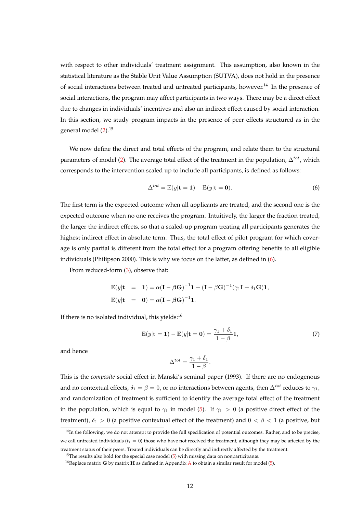with respect to other individuals' treatment assignment. This assumption, also known in the statistical literature as the Stable Unit Value Assumption (SUTVA), does not hold in the presence of social interactions between treated and untreated participants, however.<sup>14</sup> In the presence of social interactions, the program may affect participants in two ways. There may be a direct effect due to changes in individuals' incentives and also an indirect effect caused by social interaction. In this section, we study program impacts in the presence of peer effects structured as in the general model [\(2\)](#page-9-0).<sup>15</sup>

We now define the direct and total effects of the program, and relate them to the structural parameters of model [\(2\)](#page-9-0). The average total effect of the treatment in the population,  $\Delta^{tot}$ , which corresponds to the intervention scaled up to include all participants, is defined as follows:

<span id="page-13-0"></span>
$$
\Delta^{tot} = \mathbb{E}(y|\mathbf{t} = 1) - \mathbb{E}(y|\mathbf{t} = 0).
$$
\n(6)

The first term is the expected outcome when all applicants are treated, and the second one is the expected outcome when no one receives the program. Intuitively, the larger the fraction treated, the larger the indirect effects, so that a scaled-up program treating all participants generates the highest indirect effect in absolute term. Thus, the total effect of pilot program for which coverage is only partial is different from the total effect for a program offering benefits to all eligible individuals (Philipson 2000). This is why we focus on the latter, as defined in [\(6\)](#page-13-0).

From reduced-form [\(3\)](#page-10-1), observe that:

$$
\mathbb{E}(y|\mathbf{t} = \mathbf{1}) = \alpha (\mathbf{I} - \beta \mathbf{G})^{-1} \mathbf{1} + (\mathbf{I} - \beta \mathbf{G})^{-1} (\gamma_1 \mathbf{I} + \delta_1 \mathbf{G}) \mathbf{1},
$$
  

$$
\mathbb{E}(y|\mathbf{t} = \mathbf{0}) = \alpha (\mathbf{I} - \beta \mathbf{G})^{-1} \mathbf{1}.
$$

If there is no isolated individual, this yields: $16$ 

<span id="page-13-1"></span>
$$
\mathbb{E}(y|\mathbf{t}=\mathbf{1}) - \mathbb{E}(y|\mathbf{t}=\mathbf{0}) = \frac{\gamma_1 + \delta_1}{1 - \beta} \mathbf{1},\tag{7}
$$

and hence

$$
\Delta^{tot} = \frac{\gamma_1 + \delta_1}{1 - \beta}.
$$

This is the *composite* social effect in Manski's seminal paper (1993). If there are no endogenous and no contextual effects,  $\delta_1 = \beta = 0$ , or no interactions between agents, then  $\Delta^{tot}$  reduces to  $\gamma_1$ , and randomization of treatment is sufficient to identify the average total effect of the treatment in the population, which is equal to  $\gamma_1$  in model [\(5\)](#page-12-1). If  $\gamma_1 > 0$  (a positive direct effect of the treatment),  $\delta_1 > 0$  (a positive contextual effect of the treatment) and  $0 < \beta < 1$  (a positive, but

 $14$ In the following, we do not attempt to provide the full specification of potential outcomes. Rather, and to be precise, we call untreated individuals ( $t_i = 0$ ) those who have not received the treatment, although they may be affected by the treatment status of their peers. Treated individuals can be directly and indirectly affected by the treatment.

<sup>&</sup>lt;sup>15</sup>The results also hold for the special case model [\(5\)](#page-12-1) with missing data on nonparticipants.

<sup>&</sup>lt;sup>16</sup>Replace matrix G by matrix H as defined in [A](#page-46-0)ppendix A to obtain a similar result for model [\(5\)](#page-12-1).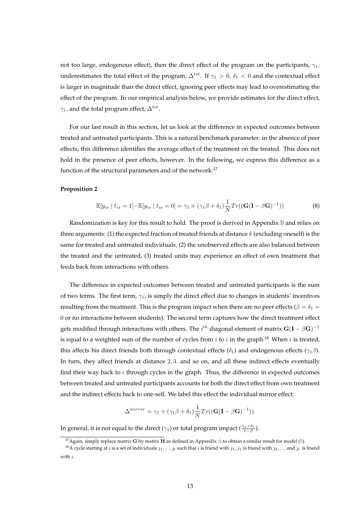not too large, endogenous effect), then the direct effect of the program on the participants,  $\gamma_1$ , underestimates the total effect of the program,  $\Delta^{tot}$ . If  $\gamma_1 > 0$ ,  $\delta_1 < 0$  and the contextual effect is larger in magnitude than the direct effect, ignoring peer effects may lead to overestimating the effect of the program. In our empirical analysis below, we provide estimates for the direct effect,  $\gamma_1$ , and the total program effect,  $\Delta^{tot}$ .

For our last result in this section, let us look at the difference in expected outcomes between treated and untreated participants. This is a natural benchmark parameter: in the absence of peer effects, this difference identifies the average effect of the treatment on the treated. This does not hold in the presence of peer effects, however. In the following, we express this difference as a function of the structural parameters and of the network:<sup>17</sup>

#### **Proposition 2**

<span id="page-14-0"></span>
$$
\mathbb{E}[y_{is} \mid t_{is} = 1] - \mathbb{E}[y_{is} \mid t_{is} = 0] = \gamma_1 + (\gamma_1 \beta + \delta_1) \frac{1}{N} Tr((\mathbf{G}(\mathbf{I} - \beta \mathbf{G})^{-1}))
$$
(8)

Randomization is key for this result to hold. The proof is derived in Appendix  $B$  and relies on three arguments: (1) the expected fraction of treated friends at distance  $k$  (excluding oneself) is the same for treated and untreated individuals, (2) the unobserved effects are also balanced between the treated and the untreated, (3) treated units may experience an effect of own treatment that feeds back from interactions with others.

The difference in expected outcomes between treated and untreated participants is the sum of two terms. The first term,  $\gamma_1$  is simply the direct effect due to changes in students' incentives resulting from the treatment. This is the program impact when there are no peer effects ( $\beta = \delta_1 =$ 0 or no interactions between students). The second term captures how the direct treatment effect gets modified through interactions with others. The  $i^{th}$  diagonal element of matrix  ${\bf G}({\bf I}-\beta{\bf G})^{-1}$ is equal to a weighted sum of the number of cycles from  $i$  to  $i$  in the graph.<sup>18</sup> When  $i$  is treated, this affects his direct friends both through contextual effects ( $\delta_1$ ) and endogenous effects ( $\gamma_1\beta$ ). In turn, they affect friends at distance 2, 3, and so on, and all these indirect effects eventually find their way back to  $i$  through cycles in the graph. Thus, the difference in expected outcomes between treated and untreated participants accounts for both the direct effect from own treatment and the indirect effects back to one-self. We label this effect the individual mirror effect:

$$
\Delta^{mirror} = \gamma_1 + (\gamma_1 \beta + \delta_1) \frac{1}{N} Tr((\mathbf{G}(\mathbf{I} - \beta \mathbf{G})^{-1})).
$$

In general, it is not equal to the direct ( $\gamma_1$ ) or total program impact ( $\frac{\gamma_1+\delta_1}{1-\beta}$ ).

<sup>&</sup>lt;sup>17</sup> [A](#page-46-0)gain, simply replace matrix **G** by matrix **H** as defined in Appendix A to obtain a similar result for model [\(5\)](#page-12-1).

 $^{18}$ A cycle starting at i is a set of individuals  $j_1,...,j_l$  such that i is friend with  $j_1, j_1$  is friend with  $j_2,...,$  and  $j_l$  is friend with i.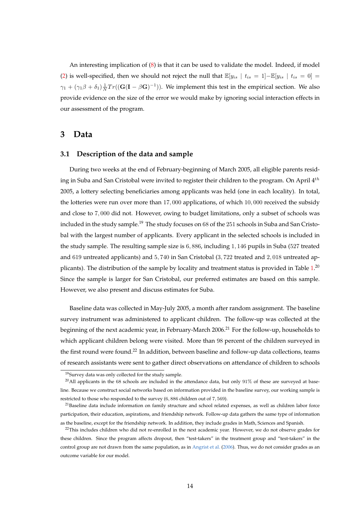An interesting implication of [\(8\)](#page-14-0) is that it can be used to validate the model. Indeed, if model [\(2\)](#page-9-0) is well-specified, then we should not reject the null that  $\mathbb{E}[y_{is} | t_{is} = 1] - \mathbb{E}[y_{is} | t_{is} = 0] =$  $\gamma_1 + (\gamma_1 \beta + \delta_1) \frac{1}{N} Tr((\mathbf{G}(\mathbf{I} - \beta \mathbf{G})^{-1}))$ . We implement this test in the empirical section. We also provide evidence on the size of the error we would make by ignoring social interaction effects in our assessment of the program.

### <span id="page-15-0"></span>**3 Data**

#### **3.1 Description of the data and sample**

During two weeks at the end of February-beginning of March 2005, all eligible parents residing in Suba and San Cristobal were invited to register their children to the program. On April  $4^{th}$ 2005, a lottery selecting beneficiaries among applicants was held (one in each locality). In total, the lotteries were run over more than 17, 000 applications, of which 10, 000 received the subsidy and close to 7, 000 did not. However, owing to budget limitations, only a subset of schools was included in the study sample.<sup>19</sup> The study focuses on 68 of the 251 schools in Suba and San Cristobal with the largest number of applicants. Every applicant in the selected schools is included in the study sample. The resulting sample size is 6, 886, including 1, 146 pupils in Suba (527 treated and 619 untreated applicants) and 5, 740 in San Cristobal (3, 722 treated and 2, 018 untreated applicants). The distribution of the sample by locality and treatment status is provided in Table  $1.^{20}$  $1.^{20}$ Since the sample is larger for San Cristobal, our preferred estimates are based on this sample. However, we also present and discuss estimates for Suba.

Baseline data was collected in May-July 2005, a month after random assignment. The baseline survey instrument was administered to applicant children. The follow-up was collected at the beginning of the next academic year, in February-March 2006.<sup>21</sup> For the follow-up, households to which applicant children belong were visited. More than 98 percent of the children surveyed in the first round were found.<sup>22</sup> In addition, between baseline and follow-up data collections, teams of research assistants were sent to gather direct observations on attendance of children to schools

<sup>19</sup>Survey data was only collected for the study sample.

 $^{20}$ All applicants in the 68 schools are included in the attendance data, but only  $91\%$  of these are surveyed at baseline. Because we construct social networks based on information provided in the baseline survey, our working sample is restricted to those who responded to the survey (6, 886 children out of 7, 569).

 $21$ Baseline data include information on family structure and school related expenses, as well as children labor force participation, their education, aspirations, and friendship network. Follow-up data gathers the same type of information as the baseline, except for the friendship network. In addition, they include grades in Math, Sciences and Spanish.

 $22$ This includes children who did not re-enrolled in the next academic year. However, we do not observe grades for these children. Since the program affects dropout, then "test-takers" in the treatment group and "test-takers" in the control group are not drawn from the same population, as in [Angrist et al.](#page-24-9) [\(2006\)](#page-24-9). Thus, we do not consider grades as an outcome variable for our model.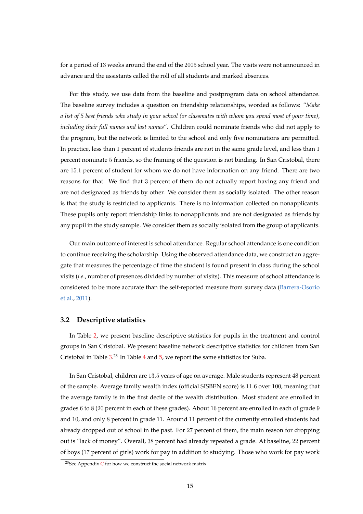for a period of 13 weeks around the end of the 2005 school year. The visits were not announced in advance and the assistants called the roll of all students and marked absences.

For this study, we use data from the baseline and postprogram data on school attendance. The baseline survey includes a question on friendship relationships, worded as follows: "*Make a list of 5 best friends who study in your school (or classmates with whom you spend most of your time), including their full names and last names*". Children could nominate friends who did not apply to the program, but the network is limited to the school and only five nominations are permitted. In practice, less than 1 percent of students friends are not in the same grade level, and less than 1 percent nominate 5 friends, so the framing of the question is not binding. In San Cristobal, there are 15.1 percent of student for whom we do not have information on any friend. There are two reasons for that. We find that 3 percent of them do not actually report having any friend and are not designated as friends by other. We consider them as socially isolated. The other reason is that the study is restricted to applicants. There is no information collected on nonapplicants. These pupils only report friendship links to nonapplicants and are not designated as friends by any pupil in the study sample. We consider them as socially isolated from the group of applicants.

Our main outcome of interest is school attendance. Regular school attendance is one condition to continue receiving the scholarship. Using the observed attendance data, we construct an aggregate that measures the percentage of time the student is found present in class during the school visits (*i.e.*, number of presences divided by number of visits). This measure of school attendance is considered to be more accurate than the self-reported measure from survey data [\(Barrera-Osorio](#page-24-4) [et al.,](#page-24-4) [2011\)](#page-24-4).

#### **3.2 Descriptive statistics**

In Table [2,](#page-28-0) we present baseline descriptive statistics for pupils in the treatment and control groups in San Cristobal. We present baseline network descriptive statistics for children from San Cristobal in Table  $3^{23}$  In Table [4](#page-31-0) and [5,](#page-32-0) we report the same statistics for Suba.

In San Cristobal, children are 13.5 years of age on average. Male students represent 48 percent of the sample. Average family wealth index (official SISBEN score) is 11.6 over 100, meaning that the average family is in the first decile of the wealth distribution. Most student are enrolled in grades 6 to 8 (20 percent in each of these grades). About 16 percent are enrolled in each of grade 9 and 10, and only 8 percent in grade 11. Around 11 percent of the currently enrolled students had already dropped out of school in the past. For 27 percent of them, the main reason for dropping out is "lack of money". Overall, 38 percent had already repeated a grade. At baseline, 22 percent of boys (17 percent of girls) work for pay in addition to studying. Those who work for pay work

<sup>&</sup>lt;sup>23</sup>See Appendix  $C$  for how we construct the social network matrix.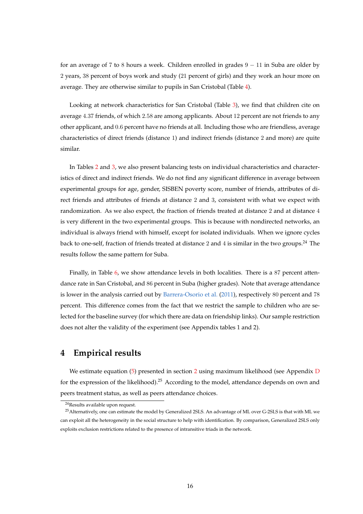for an average of 7 to 8 hours a week. Children enrolled in grades  $9 - 11$  in Suba are older by 2 years, 38 percent of boys work and study (21 percent of girls) and they work an hour more on average. They are otherwise similar to pupils in San Cristobal (Table [4\)](#page-31-0).

Looking at network characteristics for San Cristobal (Table [3\)](#page-29-0), we find that children cite on average 4.37 friends, of which 2.58 are among applicants. About 12 percent are not friends to any other applicant, and 0.6 percent have no friends at all. Including those who are friendless, average characteristics of direct friends (distance 1) and indirect friends (distance 2 and more) are quite similar.

In Tables [2](#page-28-0) and [3,](#page-29-0) we also present balancing tests on individual characteristics and characteristics of direct and indirect friends. We do not find any significant difference in average between experimental groups for age, gender, SISBEN poverty score, number of friends, attributes of direct friends and attributes of friends at distance 2 and 3, consistent with what we expect with randomization. As we also expect, the fraction of friends treated at distance 2 and at distance 4 is very different in the two experimental groups. This is because with nondirected networks, an individual is always friend with himself, except for isolated individuals. When we ignore cycles back to one-self, fraction of friends treated at distance 2 and 4 is similar in the two groups.<sup>24</sup> The results follow the same pattern for Suba.

Finally, in Table [6,](#page-34-0) we show attendance levels in both localities. There is a 87 percent attendance rate in San Cristobal, and 86 percent in Suba (higher grades). Note that average attendance is lower in the analysis carried out by [Barrera-Osorio et al.](#page-24-4) [\(2011\)](#page-24-4), respectively 80 percent and 78 percent. This difference comes from the fact that we restrict the sample to children who are selected for the baseline survey (for which there are data on friendship links). Our sample restriction does not alter the validity of the experiment (see Appendix tables 1 and 2).

### <span id="page-17-0"></span>**4 Empirical results**

We estimate equation [\(5\)](#page-12-1) presented in section [2](#page-8-0) using maximum likelihood (see Appendix [D](#page-47-1) for the expression of the likelihood).<sup>25</sup> According to the model, attendance depends on own and peers treatment status, as well as peers attendance choices.

<sup>24</sup>Results available upon request.

<sup>&</sup>lt;sup>25</sup> Alternatively, one can estimate the model by Generalized 2SLS. An advantage of ML over G-2SLS is that with ML we can exploit all the heterogeneity in the social structure to help with identification. By comparison, Generalized 2SLS only exploits exclusion restrictions related to the presence of intransitive triads in the network.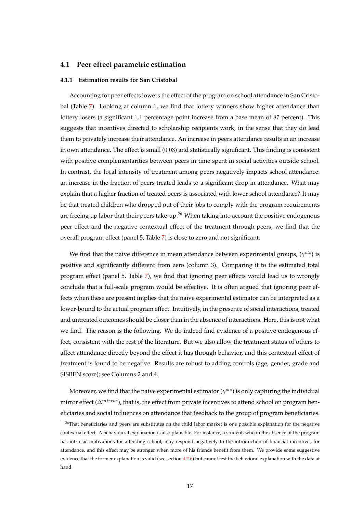#### **4.1 Peer effect parametric estimation**

#### **4.1.1 Estimation results for San Cristobal**

Accounting for peer effects lowers the effect of the program on school attendance in San Cristobal (Table [7\)](#page-35-0). Looking at column 1, we find that lottery winners show higher attendance than lottery losers (a significant 1.1 percentage point increase from a base mean of 87 percent). This suggests that incentives directed to scholarship recipients work, in the sense that they do lead them to privately increase their attendance. An increase in peers attendance results in an increase in own attendance. The effect is small (0.03) and statistically significant. This finding is consistent with positive complementarities between peers in time spent in social activities outside school. In contrast, the local intensity of treatment among peers negatively impacts school attendance: an increase in the fraction of peers treated leads to a significant drop in attendance. What may explain that a higher fraction of treated peers is associated with lower school attendance? It may be that treated children who dropped out of their jobs to comply with the program requirements are freeing up labor that their peers take-up.<sup>26</sup> When taking into account the positive endogenous peer effect and the negative contextual effect of the treatment through peers, we find that the overall program effect (panel 5, Table [7\)](#page-35-0) is close to zero and not significant.

We find that the naive difference in mean attendance between experimental groups,  $(\gamma^{ols})$  is positive and significantly different from zero (column 3). Comparing it to the estimated total program effect (panel 5, Table [7\)](#page-35-0), we find that ignoring peer effects would lead us to wrongly conclude that a full-scale program would be effective. It is often argued that ignoring peer effects when these are present implies that the naive experimental estimator can be interpreted as a lower-bound to the actual program effect. Intuitively, in the presence of social interactions, treated and untreated outcomes should be closer than in the absence of interactions. Here, this is not what we find. The reason is the following. We do indeed find evidence of a positive endogenous effect, consistent with the rest of the literature. But we also allow the treatment status of others to affect attendance directly beyond the effect it has through behavior, and this contextual effect of treatment is found to be negative. Results are robust to adding controls (age, gender, grade and SISBEN score); see Columns 2 and 4.

Moreover, we find that the naive experimental estimator ( $\gamma^{ols}$ ) is only capturing the individual mirror effect ( $\Delta^{mirror}$ ), that is, the effect from private incentives to attend school on program beneficiaries and social influences on attendance that feedback to the group of program beneficiaries.

<sup>&</sup>lt;sup>26</sup>That beneficiaries and peers are substitutes on the child labor market is one possible explanation for the negative contextual effect. A behavioural explanation is also plausible. For instance, a student, who in the absence of the program has intrinsic motivations for attending school, may respond negatively to the introduction of financial incentives for attendance, and this effect may be stronger when more of his friends benefit from them. We provide some suggestive evidence that the former explanation is valid (see section [4.2.6\)](#page-22-0) but cannot test the behavioral explanation with the data at hand.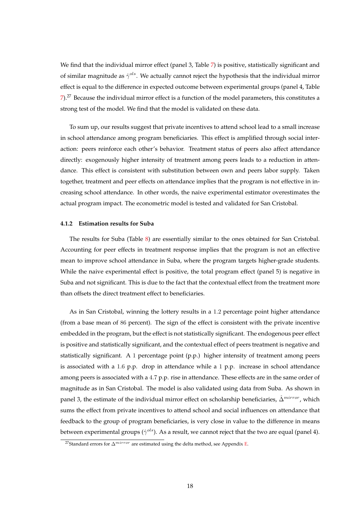We find that the individual mirror effect (panel 3, Table [7\)](#page-35-0) is positive, statistically significant and of similar magnitude as  $\hat{\gamma}^{ols}$ . We actually cannot reject the hypothesis that the individual mirror effect is equal to the difference in expected outcome between experimental groups (panel 4, Table [7\)](#page-35-0).<sup>27</sup> Because the individual mirror effect is a function of the model parameters, this constitutes a strong test of the model. We find that the model is validated on these data.

To sum up, our results suggest that private incentives to attend school lead to a small increase in school attendance among program beneficiaries. This effect is amplified through social interaction: peers reinforce each other's behavior. Treatment status of peers also affect attendance directly: exogenously higher intensity of treatment among peers leads to a reduction in attendance. This effect is consistent with substitution between own and peers labor supply. Taken together, treatment and peer effects on attendance implies that the program is not effective in increasing school attendance. In other words, the naive experimental estimator overestimates the actual program impact. The econometric model is tested and validated for San Cristobal.

#### **4.1.2 Estimation results for Suba**

The results for Suba (Table [8\)](#page-36-0) are essentially similar to the ones obtained for San Cristobal. Accounting for peer effects in treatment response implies that the program is not an effective mean to improve school attendance in Suba, where the program targets higher-grade students. While the naive experimental effect is positive, the total program effect (panel 5) is negative in Suba and not significant. This is due to the fact that the contextual effect from the treatment more than offsets the direct treatment effect to beneficiaries.

As in San Cristobal, winning the lottery results in a 1.2 percentage point higher attendance (from a base mean of 86 percent). The sign of the effect is consistent with the private incentive embedded in the program, but the effect is not statistically significant. The endogenous peer effect is positive and statistically significant, and the contextual effect of peers treatment is negative and statistically significant. A 1 percentage point (p.p.) higher intensity of treatment among peers is associated with a 1.6 p.p. drop in attendance while a 1 p.p. increase in school attendance among peers is associated with a 4.7 p.p. rise in attendance. These effects are in the same order of magnitude as in San Cristobal. The model is also validated using data from Suba. As shown in panel 3, the estimate of the individual mirror effect on scholarship beneficiaries,  $\hat{\Delta}^{mirror}$ , which sums the effect from private incentives to attend school and social influences on attendance that feedback to the group of program beneficiaries, is very close in value to the difference in means between experimental groups ( $\hat{\gamma}^{ols}$ ). As a result, we cannot reject that the two are equal (panel 4).

<sup>&</sup>lt;sup>27</sup>Standard errors for  $\Delta^{mirror}$  are estimated using the delta method, see Appendix [E.](#page-47-2)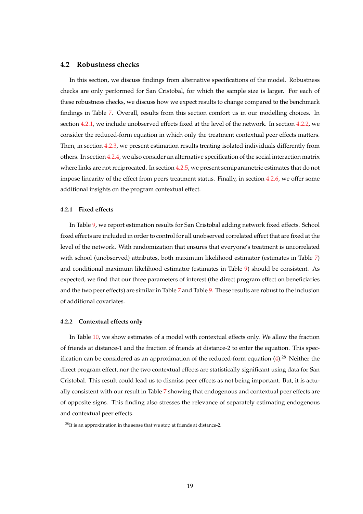#### **4.2 Robustness checks**

In this section, we discuss findings from alternative specifications of the model. Robustness checks are only performed for San Cristobal, for which the sample size is larger. For each of these robustness checks, we discuss how we expect results to change compared to the benchmark findings in Table [7.](#page-35-0) Overall, results from this section comfort us in our modelling choices. In section [4.2.1,](#page-20-0) we include unobserved effects fixed at the level of the network. In section [4.2.2,](#page-20-1) we consider the reduced-form equation in which only the treatment contextual peer effects matters. Then, in section [4.2.3,](#page-21-0) we present estimation results treating isolated individuals differently from others. In section [4.2.4,](#page-21-1) we also consider an alternative specification of the social interaction matrix where links are not reciprocated. In section [4.2.5,](#page-21-2) we present semiparametric estimates that do not impose linearity of the effect from peers treatment status. Finally, in section [4.2.6,](#page-22-0) we offer some additional insights on the program contextual effect.

#### <span id="page-20-0"></span>**4.2.1 Fixed effects**

In Table [9,](#page-37-0) we report estimation results for San Cristobal adding network fixed effects. School fixed effects are included in order to control for all unobserved correlated effect that are fixed at the level of the network. With randomization that ensures that everyone's treatment is uncorrelated with school (unobserved) attributes, both maximum likelihood estimator (estimates in Table [7\)](#page-35-0) and conditional maximum likelihood estimator (estimates in Table [9\)](#page-37-0) should be consistent. As expected, we find that our three parameters of interest (the direct program effect on beneficiaries and the two peer effects) are similar in Table [7](#page-35-0) and Table [9.](#page-37-0) These results are robust to the inclusion of additional covariates.

#### <span id="page-20-1"></span>**4.2.2 Contextual effects only**

In Table [10,](#page-38-0) we show estimates of a model with contextual effects only. We allow the fraction of friends at distance-1 and the fraction of friends at distance-2 to enter the equation. This specification can be considered as an approximation of the reduced-form equation  $(4)$ .<sup>28</sup> Neither the direct program effect, nor the two contextual effects are statistically significant using data for San Cristobal. This result could lead us to dismiss peer effects as not being important. But, it is actually consistent with our result in Table [7](#page-35-0) showing that endogenous and contextual peer effects are of opposite signs. This finding also stresses the relevance of separately estimating endogenous and contextual peer effects.

<sup>&</sup>lt;sup>28</sup>It is an approximation in the sense that we stop at friends at distance-2.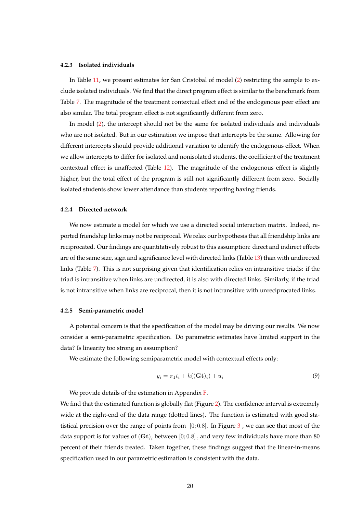#### <span id="page-21-0"></span>**4.2.3 Isolated individuals**

In Table [11,](#page-39-0) we present estimates for San Cristobal of model [\(2\)](#page-9-0) restricting the sample to exclude isolated individuals. We find that the direct program effect is similar to the benchmark from Table [7.](#page-35-0) The magnitude of the treatment contextual effect and of the endogenous peer effect are also similar. The total program effect is not significantly different from zero.

In model [\(2\)](#page-9-0), the intercept should not be the same for isolated individuals and individuals who are not isolated. But in our estimation we impose that intercepts be the same. Allowing for different intercepts should provide additional variation to identify the endogenous effect. When we allow intercepts to differ for isolated and nonisolated students, the coefficient of the treatment contextual effect is unaffected (Table [12\)](#page-40-0). The magnitude of the endogenous effect is slightly higher, but the total effect of the program is still not significantly different from zero. Socially isolated students show lower attendance than students reporting having friends.

#### <span id="page-21-1"></span>**4.2.4 Directed network**

We now estimate a model for which we use a directed social interaction matrix. Indeed, reported friendship links may not be reciprocal. We relax our hypothesis that all friendship links are reciprocated. Our findings are quantitatively robust to this assumption: direct and indirect effects are of the same size, sign and significance level with directed links (Table [13\)](#page-41-0) than with undirected links (Table [7\)](#page-35-0). This is not surprising given that identification relies on intransitive triads: if the triad is intransitive when links are undirected, it is also with directed links. Similarly, if the triad is not intransitive when links are reciprocal, then it is not intransitive with unreciprocated links.

#### <span id="page-21-2"></span>**4.2.5 Semi-parametric model**

A potential concern is that the specification of the model may be driving our results. We now consider a semi-parametric specification. Do parametric estimates have limited support in the data? Is linearity too strong an assumption?

We estimate the following semiparametric model with contextual effects only:

<span id="page-21-3"></span>
$$
y_i = \pi_1 t_i + h((\mathbf{Gt})_i) + u_i \tag{9}
$$

We provide details of the estimation in Appendix [F.](#page-48-0)

We find that the estimated function is globally flat (Figure [2\)](#page-22-1). The confidence interval is extremely wide at the right-end of the data range (dotted lines). The function is estimated with good statistical precision over the range of points from  $[0; 0.8]$ . In Figure [3](#page-22-2), we can see that most of the data support is for values of  ${{\bf (Gt)}}_i$  between  $[0;0.8]$  , and very few individuals have more than  $80$ percent of their friends treated. Taken together, these findings suggest that the linear-in-means specification used in our parametric estimation is consistent with the data.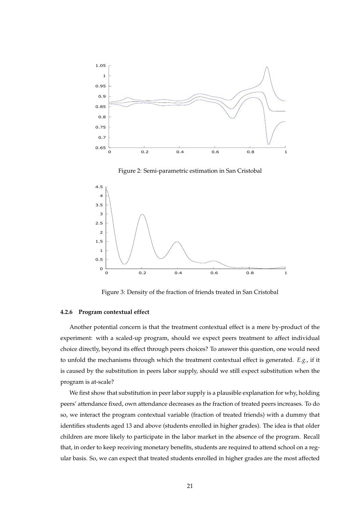

<span id="page-22-1"></span>

<span id="page-22-2"></span>Figure 3: Density of the fraction of friends treated in San Cristobal

#### <span id="page-22-0"></span>**4.2.6 Program contextual effect**

Another potential concern is that the treatment contextual effect is a mere by-product of the experiment: with a scaled-up program, should we expect peers treatment to affect individual choice directly, beyond its effect through peers choices? To answer this question, one would need to unfold the mechanisms through which the treatment contextual effect is generated. *E.g.*, if it is caused by the substitution in peers labor supply, should we still expect substitution when the program is at-scale?

We first show that substitution in peer labor supply is a plausible explanation for why, holding peers' attendance fixed, own attendance decreases as the fraction of treated peers increases. To do so, we interact the program contextual variable (fraction of treated friends) with a dummy that identifies students aged 13 and above (students enrolled in higher grades). The idea is that older children are more likely to participate in the labor market in the absence of the program. Recall that, in order to keep receiving monetary benefits, students are required to attend school on a regular basis. So, we can expect that treated students enrolled in higher grades are the most affected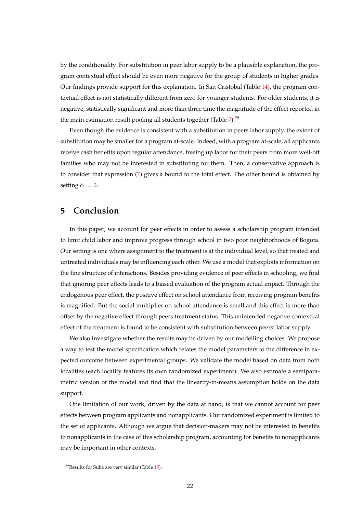by the conditionality. For substitution in peer labor supply to be a plausible explanation, the program contextual effect should be even more negative for the group of students in higher grades. Our findings provide support for this explanation. In San Cristobal (Table [14\)](#page-42-0), the program contextual effect is not statistically different from zero for younger students. For older students, it is negative, statistically significant and more than three time the magnitude of the effect reported in the main estimation result pooling all students together (Table  $7$ ).<sup>29</sup>

Even though the evidence is consistent with a substitution in peers labor supply, the extent of substitution may be smaller for a program at-scale. Indeed, with a program at-scale, all applicants receive cash benefits upon regular attendance, freeing up labor for their peers from more well-off families who may not be interested in substituting for them. Then, a conservative approach is to consider that expression [\(7\)](#page-13-1) gives a bound to the total effect. The other bound is obtained by setting  $\delta_1 = 0$ .

### <span id="page-23-0"></span>**5 Conclusion**

In this paper, we account for peer effects in order to assess a scholarship program intended to limit child labor and improve progress through school in two poor neighborhoods of Bogota. Our setting is one where assignment to the treatment is at the individual level, so that treated and untreated individuals may be influencing each other. We use a model that exploits information on the fine structure of interactions. Besides providing evidence of peer effects in schooling, we find that ignoring peer effects leads to a biased evaluation of the program actual impact. Through the endogenous peer effect, the positive effect on school attendance from receiving program benefits is magnified. But the social multiplier on school attendance is small and this effect is more than offset by the negative effect through peers treatment status. This unintended negative contextual effect of the treatment is found to be consistent with substitution between peers' labor supply.

We also investigate whether the results may be driven by our modelling choices. We propose a way to test the model specification which relates the model parameters to the difference in expected outcome between experimental groups. We validate the model based on data from both localities (each locality features its own randomized experiment). We also estimate a semiparametric version of the model and find that the linearity-in-means assumption holds on the data support.

One limitation of our work, driven by the data at hand, is that we cannot account for peer effects between program applicants and nonapplicants. Our randomized experiment is limited to the set of applicants. Although we argue that decision-makers may not be interested in benefits to nonapplicants in the case of this scholarship program, accounting for benefits to nonapplicants may be important in other contexts.

 $29$ Results for Suba are very similar (Table [15\)](#page-43-0).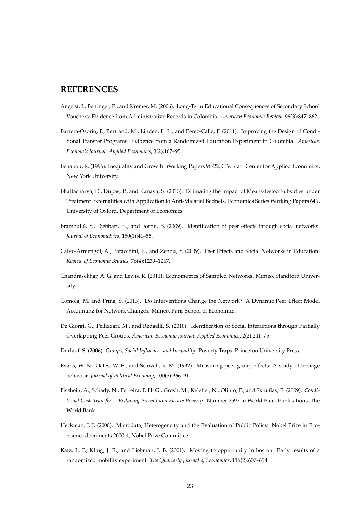### **REFERENCES**

- <span id="page-24-9"></span>Angrist, J., Bettinger, E., and Kremer, M. (2006). Long-Term Educational Consequences of Secondary School Vouchers: Evidence from Administrative Records in Colombia. *American Economic Review*, 96(3):847–862.
- <span id="page-24-4"></span>Barrera-Osorio, F., Bertrand, M., Linden, L. L., and Perez-Calle, F. (2011). Improving the Design of Conditional Transfer Programs: Evidence from a Randomized Education Experiment in Colombia. *American Economic Journal: Applied Economics*, 3(2):167–95.
- Benabou, R. (1996). Inequality and Growth. Working Papers 96-22, C.V. Starr Center for Applied Economics, New York University.
- <span id="page-24-0"></span>Bhattacharya, D., Dupas, P., and Kanaya, S. (2013). Estimating the Impact of Means-tested Subsidies under Treatment Externalities with Application to Anti-Malarial Bednets. Economics Series Working Papers 646, University of Oxford, Department of Economics.
- <span id="page-24-2"></span>Bramoullé, Y., Djebbari, H., and Fortin, B. (2009). Identification of peer effects through social networks. *Journal of Econometrics*, 150(1):41–55.
- <span id="page-24-3"></span>Calvo-Armengol, A., Patacchini, E., and Zenou, Y. (2009). Peer Effects and Social Networks in Education. *Review of Economic Studies*, 76(4):1239–1267.
- <span id="page-24-8"></span>Chandrasekhar, A. G. and Lewis, R. (2011). Econometrics of Sampled Networks. Mimeo, Standford University.
- <span id="page-24-7"></span>Comola, M. and Prina, S. (2013). Do Interventions Change the Network? A Dynamic Peer Effect Model Accounting for Network Changes. Mimeo, Paris School of Economics.
- <span id="page-24-6"></span>De Giorgi, G., Pellizzari, M., and Redaelli, S. (2010). Identification of Social Interactions through Partially Overlapping Peer Groups. *American Economic Journal: Applied Economics*, 2(2):241–75.
- <span id="page-24-1"></span>Durlauf, S. (2006). *Groups, Social Influences and Inequality*. Poverty Traps. Princeton University Press.
- Evans, W. N., Oates, W. E., and Schwab, R. M. (1992). Measuring peer group effects: A study of teenage behavior. *Journal of Political Economy*, 100(5):966–91.
- <span id="page-24-5"></span>Fiszbein, A., Schady, N., Ferreira, F. H. G., Grosh, M., Keleher, N., Olinto, P., and Skoufias, E. (2009). *Conditional Cash Transfers : Reducing Present and Future Poverty*. Number 2597 in World Bank Publications. The World Bank.
- Heckman, J. J. (2000). Microdata, Heterogeneity and the Evaluation of Public Policy. Nobel Prize in Economics documents 2000-4, Nobel Prize Committee.
- Katz, L. F., Kling, J. R., and Liebman, J. B. (2001). Moving to opportunity in boston: Early results of a randomized mobility experiment. *The Quarterly Journal of Economics*, 116(2):607–654.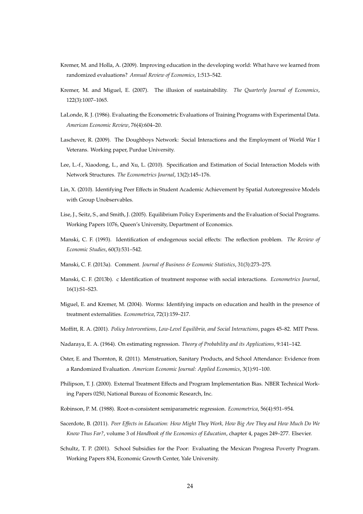- Kremer, M. and Holla, A. (2009). Improving education in the developing world: What have we learned from randomized evaluations? *Annual Review of Economics*, 1:513–542.
- <span id="page-25-0"></span>Kremer, M. and Miguel, E. (2007). The illusion of sustainability. *The Quarterly Journal of Economics*, 122(3):1007–1065.
- <span id="page-25-8"></span>LaLonde, R. J. (1986). Evaluating the Econometric Evaluations of Training Programs with Experimental Data. *American Economic Review*, 76(4):604–20.
- <span id="page-25-5"></span>Laschever, R. (2009). The Doughboys Network: Social Interactions and the Employment of World War I Veterans. Working paper, Purdue University.
- <span id="page-25-6"></span>Lee, L.-f., Xiaodong, L., and Xu, L. (2010). Specification and Estimation of Social Interaction Models with Network Structures. *The Econometrics Journal*, 13(2):145–176.
- <span id="page-25-7"></span>Lin, X. (2010). Identifying Peer Effects in Student Academic Achievement by Spatial Autoregressive Models with Group Unobservables.
- Lise, J., Seitz, S., and Smith, J. (2005). Equilibrium Policy Experiments and the Evaluation of Social Programs. Working Papers 1076, Queen's University, Department of Economics.
- <span id="page-25-4"></span>Manski, C. F. (1993). Identification of endogenous social effects: The reflection problem. *The Review of Economic Studies*, 60(3):531–542.
- <span id="page-25-2"></span>Manski, C. F. (2013a). Comment. *Journal of Business & Economic Statistics*, 31(3):273–275.
- <span id="page-25-3"></span>Manski, C. F. (2013b). c Identification of treatment response with social interactions. *Econometrics Journal*, 16(1):S1–S23.
- <span id="page-25-9"></span>Miguel, E. and Kremer, M. (2004). Worms: Identifying impacts on education and health in the presence of treatment externalities. *Econometrica*, 72(1):159–217.
- Moffitt, R. A. (2001). *Policy Interventions, Low-Level Equilibria, and Social Interactions*, pages 45–82. MIT Press.
- <span id="page-25-11"></span>Nadaraya, E. A. (1964). On estimating regression. *Theory of Probability and its Applications*, 9:141–142.
- <span id="page-25-1"></span>Oster, E. and Thornton, R. (2011). Menstruation, Sanitary Products, and School Attendance: Evidence from a Randomized Evaluation. *American Economic Journal: Applied Economics*, 3(1):91–100.
- Philipson, T. J. (2000). External Treatment Effects and Program Implementation Bias. NBER Technical Working Papers 0250, National Bureau of Economic Research, Inc.
- <span id="page-25-10"></span>Robinson, P. M. (1988). Root-n-consistent semiparametric regression. *Econometrica*, 56(4):931–954.
- Sacerdote, B. (2011). *Peer Effects in Education: How Might They Work, How Big Are They and How Much Do We Know Thus Far?*, volume 3 of *Handbook of the Economics of Education*, chapter 4, pages 249–277. Elsevier.
- Schultz, T. P. (2001). School Subsidies for the Poor: Evaluating the Mexican Progresa Poverty Program. Working Papers 834, Economic Growth Center, Yale University.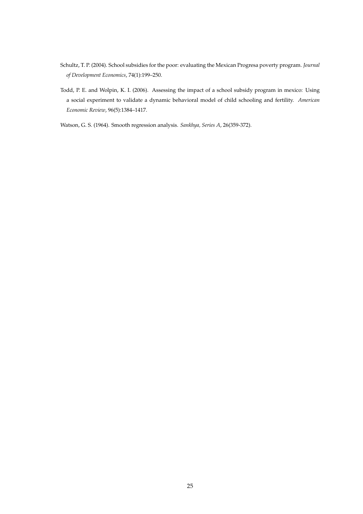- Schultz, T. P. (2004). School subsidies for the poor: evaluating the Mexican Progresa poverty program. *Journal of Development Economics*, 74(1):199–250.
- <span id="page-26-0"></span>Todd, P. E. and Wolpin, K. I. (2006). Assessing the impact of a school subsidy program in mexico: Using a social experiment to validate a dynamic behavioral model of child schooling and fertility. *American Economic Review*, 96(5):1384–1417.
- <span id="page-26-1"></span>Watson, G. S. (1964). Smooth regression analysis. *Sankhya, Series A*, 26(359-372).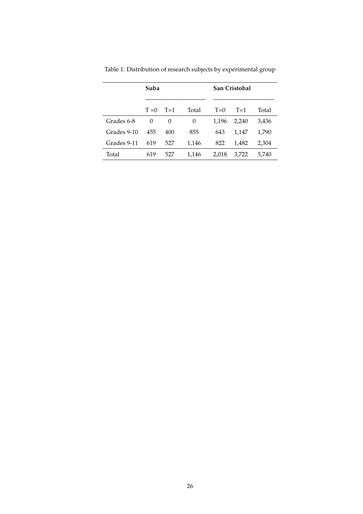|             | Suba    |       |       | San Cristobal |       |       |
|-------------|---------|-------|-------|---------------|-------|-------|
|             | $T = 0$ | $T=1$ | Total | $T=0$         | $T=1$ | Total |
| Grades 6-8  | 0       | 0     | 0     | 1,196         | 2,240 | 3,436 |
| Grades 9-10 | 455     | 400   | 855   | 643           | 1,147 | 1,790 |
| Grades 9-11 | 619     | 527   | 1,146 | 822           | 1,482 | 2,304 |
| Total       | 619     | 527   | 1,146 | 2,018         | 3,722 | 5,740 |

<span id="page-27-0"></span>Table 1: Distribution of research subjects by experimental group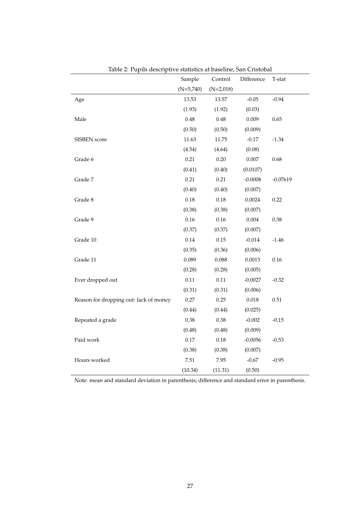| nasie 2. I apho acociiptive statistics at baseline, san Chotobal | Sample      | Control     | Difference | T-stat     |
|------------------------------------------------------------------|-------------|-------------|------------|------------|
|                                                                  | $(N=5,740)$ | $(N=2,018)$ |            |            |
| Age                                                              | 13.53       | 13.57       | $-0.05$    | $-0.94$    |
|                                                                  | (1.93)      | (1.92)      | (0.03)     |            |
| Male                                                             | 0.48        | 0.48        | 0.009      | 0.65       |
|                                                                  | (0.50)      | (0.50)      | (0.009)    |            |
| SISBEN score                                                     | 11.63       | 11.75       | $-0.17$    | $-1.34$    |
|                                                                  | (4.54)      | (4.64)      | (0.08)     |            |
| Grade 6                                                          | 0.21        | 0.20        | $0.007\,$  | 0.68       |
|                                                                  | (0.41)      | (0.40)      | (0.0107)   |            |
| Grade 7                                                          | 0.21        | 0.21        | $-0.0008$  | $-0.07619$ |
|                                                                  | (0.40)      | (0.40)      | (0.007)    |            |
| Grade 8                                                          | $0.18\,$    | $0.18\,$    | 0.0024     | 0.22       |
|                                                                  | (0.38)      | (0.38)      | (0.007)    |            |
| Grade 9                                                          | 0.16        | 0.16        | 0.004      | 0.38       |
|                                                                  | (0.37)      | (0.37)      | (0.007)    |            |
| Grade 10                                                         | 0.14        | 0.15        | $-0.014$   | $-1.46$    |
|                                                                  | (0.35)      | (0.36)      | (0.006)    |            |
| Grade 11                                                         | 0.089       | 0.088       | 0.0013     | $0.16\,$   |
|                                                                  | (0.28)      | (0.28)      | (0.005)    |            |
| Ever dropped out                                                 | 0.11        | 0.11        | $-0.0027$  | $-0.32$    |
|                                                                  | (0.31)      | (0.31)      | (0.006)    |            |
| Reason for dropping out: lack of money                           | 0.27        | 0.25        | 0.018      | 0.51       |
|                                                                  | (0.44)      | (0.44)      | (0.025)    |            |
| Repeated a grade                                                 | $0.38\,$    | $0.38\,$    | $-0.002$   | $-0.15$    |
|                                                                  | (0.48)      | (0.48)      | (0.009)    |            |
| Paid work                                                        | $0.17\,$    | $0.18\,$    | $-0.0056$  | $-0.53$    |
|                                                                  | (0.38)      | (0.38)      | (0.007)    |            |
| Hours worked                                                     | 7.51        | 7.95        | $-0.67$    | $-0.95$    |
|                                                                  | (10.34)     | (11.31)     | (0.50)     |            |

<span id="page-28-0"></span>Table 2: Pupils descriptive statistics at baseline, San Cristobal

Note: mean and standard deviation in parenthesis; difference and standard error in parenthesis.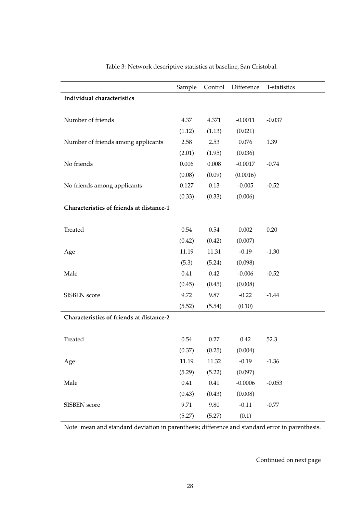<span id="page-29-0"></span>

|                                          | Sample | Control | Difference | T-statistics |
|------------------------------------------|--------|---------|------------|--------------|
| Individual characteristics               |        |         |            |              |
|                                          |        |         |            |              |
| Number of friends                        | 4.37   | 4.371   | $-0.0011$  | $-0.037$     |
|                                          | (1.12) | (1.13)  | (0.021)    |              |
| Number of friends among applicants       | 2.58   | 2.53    | 0.076      | 1.39         |
|                                          | (2.01) | (1.95)  | (0.036)    |              |
| No friends                               | 0.006  | 0.008   | $-0.0017$  | $-0.74$      |
|                                          | (0.08) | (0.09)  | (0.0016)   |              |
| No friends among applicants              | 0.127  | 0.13    | $-0.005$   | $-0.52$      |
|                                          | (0.33) | (0.33)  | (0.006)    |              |
| Characteristics of friends at distance-1 |        |         |            |              |
|                                          |        |         |            |              |
| Treated                                  | 0.54   | 0.54    | 0.002      | 0.20         |
|                                          | (0.42) | (0.42)  | (0.007)    |              |
| Age                                      | 11.19  | 11.31   | $-0.19$    | $-1.30$      |
|                                          | (5.3)  | (5.24)  | (0.098)    |              |
| Male                                     | 0.41   | 0.42    | $-0.006$   | $-0.52$      |
|                                          | (0.45) | (0.45)  | (0.008)    |              |
| SISBEN score                             | 9.72   | 9.87    | $-0.22$    | $-1.44$      |
|                                          | (5.52) | (5.54)  | (0.10)     |              |
| Characteristics of friends at distance-2 |        |         |            |              |
|                                          |        |         |            |              |
| Treated                                  | 0.54   | 0.27    | 0.42       | 52.3         |
|                                          | (0.37) | (0.25)  | (0.004)    |              |
| Age                                      | 11.19  | 11.32   | $-0.19$    | $-1.36$      |
|                                          | (5.29) | (5.22)  | (0.097)    |              |
| Male                                     | 0.41   | 0.41    | $-0.0006$  | $-0.053$     |
|                                          | (0.43) | (0.43)  | (0.008)    |              |
| SISBEN score                             | 9.71   | 9.80    | $-0.11$    | $-0.77$      |
|                                          | (5.27) | (5.27)  | (0.1)      |              |

Table 3: Network descriptive statistics at baseline, San Cristobal.

Note: mean and standard deviation in parenthesis; difference and standard error in parenthesis.

Continued on next page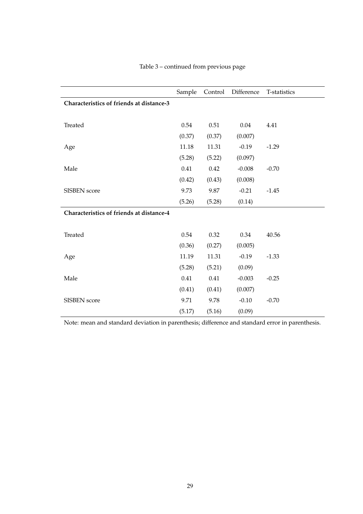|                                          | Sample | Control | Difference | T-statistics |
|------------------------------------------|--------|---------|------------|--------------|
| Characteristics of friends at distance-3 |        |         |            |              |
|                                          |        |         |            |              |
| Treated                                  | 0.54   | 0.51    | 0.04       | 4.41         |
|                                          | (0.37) | (0.37)  | (0.007)    |              |
| Age                                      | 11.18  | 11.31   | $-0.19$    | $-1.29$      |
|                                          | (5.28) | (5.22)  | (0.097)    |              |
| Male                                     | 0.41   | 0.42    | $-0.008$   | $-0.70$      |
|                                          | (0.42) | (0.43)  | (0.008)    |              |
| <b>SISBEN</b> score                      | 9.73   | 9.87    | $-0.21$    | $-1.45$      |
|                                          | (5.26) | (5.28)  | (0.14)     |              |
| Characteristics of friends at distance-4 |        |         |            |              |
|                                          |        |         |            |              |
| Treated                                  | 0.54   | 0.32    | 0.34       | 40.56        |
|                                          | (0.36) | (0.27)  | (0.005)    |              |
| Age                                      | 11.19  | 11.31   | $-0.19$    | $-1.33$      |
|                                          | (5.28) | (5.21)  | (0.09)     |              |
| Male                                     | 0.41   | 0.41    | $-0.003$   | $-0.25$      |
|                                          | (0.41) | (0.41)  | (0.007)    |              |
| SISBEN score                             | 9.71   | 9.78    | $-0.10$    | $-0.70$      |
|                                          | (5.17) | (5.16)  | (0.09)     |              |

## Table 3 – continued from previous page

Note: mean and standard deviation in parenthesis; difference and standard error in parenthesis.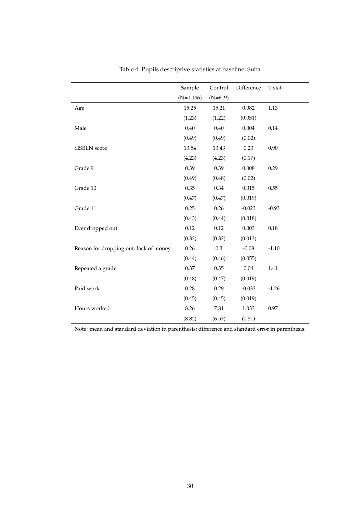|                                        | Sample       | Control   | Difference | T-stat  |
|----------------------------------------|--------------|-----------|------------|---------|
|                                        | $(N=1, 146)$ | $(N=619)$ |            |         |
| Age                                    | 15.25        | 15.21     | 0.082      | 1.13    |
|                                        | (1.23)       | (1.22)    | (0.051)    |         |
| Male                                   | 0.40         | 0.40      | 0.004      | 0.14    |
|                                        | (0.49)       | (0.49)    | (0.02)     |         |
| SISBEN score                           | 13.54        | 13.43     | 0.23       | 0.90    |
|                                        | (4.23)       | (4.23)    | (0.17)     |         |
| Grade 9                                | 0.39         | 0.39      | 0.008      | 0.29    |
|                                        | (0.49)       | (0.48)    | (0.02)     |         |
| Grade 10                               | 0.35         | 0.34      | 0.015      | 0.55    |
|                                        | (0.47)       | (0.47)    | (0.019)    |         |
| Grade 11                               | 0.25         | 0.26      | $-0.023$   | $-0.93$ |
|                                        | (0.43)       | (0.44)    | (0.018)    |         |
| Ever dropped out                       | 0.12         | 0.12      | 0.003      | 0.18    |
|                                        | (0.32)       | (0.32)    | (0.013)    |         |
| Reason for dropping out: lack of money | 0.26         | $0.3\,$   | $-0.08$    | $-1.10$ |
|                                        | (0.44)       | (0.46)    | (0.055)    |         |
| Repeated a grade                       | 0.37         | 0.35      | 0.04       | 1.41    |
|                                        | (0.48)       | (0.47)    | (0.019)    |         |
| Paid work                              | 0.28         | 0.29      | $-0.033$   | $-1.26$ |
|                                        | (0.45)       | (0.45)    | (0.019)    |         |
| Hours worked                           | 8.26         | 7.81      | 1.033      | 0.97    |
|                                        | (8.82)       | (6.57)    | (0.51)     |         |

<span id="page-31-0"></span>Table 4: Pupils descriptive statistics at baseline, Suba

Note: mean and standard deviation in parenthesis; difference and standard error in parenthesis.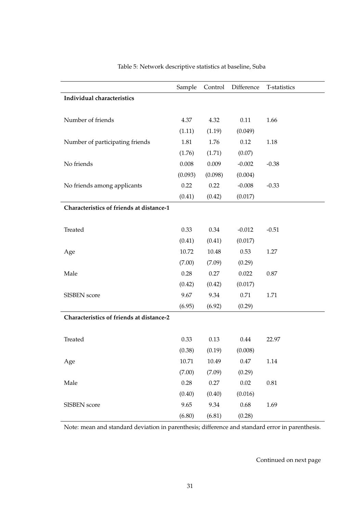<span id="page-32-0"></span>

|                                          | Sample    | Control | Difference | T-statistics |
|------------------------------------------|-----------|---------|------------|--------------|
| Individual characteristics               |           |         |            |              |
|                                          |           |         |            |              |
| Number of friends                        | 4.37      | 4.32    | 0.11       | 1.66         |
|                                          | (1.11)    | (1.19)  | (0.049)    |              |
| Number of participating friends          | 1.81      | 1.76    | 0.12       | 1.18         |
|                                          | (1.76)    | (1.71)  | (0.07)     |              |
| No friends                               | $0.008\,$ | 0.009   | $-0.002$   | $-0.38$      |
|                                          | (0.093)   | (0.098) | (0.004)    |              |
| No friends among applicants              | 0.22      | 0.22    | $-0.008$   | $-0.33$      |
|                                          | (0.41)    | (0.42)  | (0.017)    |              |
| Characteristics of friends at distance-1 |           |         |            |              |
|                                          |           |         |            |              |
| Treated                                  | 0.33      | 0.34    | $-0.012$   | $-0.51$      |
|                                          | (0.41)    | (0.41)  | (0.017)    |              |
| Age                                      | 10.72     | 10.48   | 0.53       | 1.27         |
|                                          | (7.00)    | (7.09)  | (0.29)     |              |
| Male                                     | 0.28      | 0.27    | 0.022      | 0.87         |
|                                          | (0.42)    | (0.42)  | (0.017)    |              |
| SISBEN score                             | 9.67      | 9.34    | 0.71       | 1.71         |
|                                          | (6.95)    | (6.92)  | (0.29)     |              |
| Characteristics of friends at distance-2 |           |         |            |              |
|                                          |           |         |            |              |
| Treated                                  | 0.33      | 0.13    | 0.44       | 22.97        |
|                                          | (0.38)    | (0.19)  | (0.008)    |              |
| Age                                      | 10.71     | 10.49   | $0.47\,$   | 1.14         |
|                                          | (7.00)    | (7.09)  | (0.29)     |              |
| Male                                     | $0.28\,$  | 0.27    | $0.02\,$   | $0.81\,$     |
|                                          | (0.40)    | (0.40)  | (0.016)    |              |
| SISBEN score                             | 9.65      | 9.34    | 0.68       | 1.69         |
|                                          | (6.80)    | (6.81)  | (0.28)     |              |

Table 5: Network descriptive statistics at baseline, Suba

Note: mean and standard deviation in parenthesis; difference and standard error in parenthesis.

Continued on next page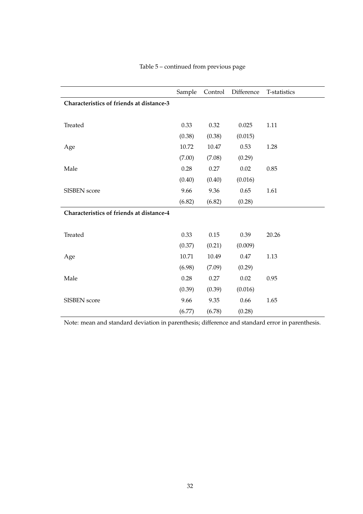|                                          | Sample | Control | Difference | T-statistics |
|------------------------------------------|--------|---------|------------|--------------|
| Characteristics of friends at distance-3 |        |         |            |              |
|                                          |        |         |            |              |
| Treated                                  | 0.33   | 0.32    | 0.025      | 1.11         |
|                                          | (0.38) | (0.38)  | (0.015)    |              |
| Age                                      | 10.72  | 10.47   | 0.53       | 1.28         |
|                                          | (7.00) | (7.08)  | (0.29)     |              |
| Male                                     | 0.28   | 0.27    | 0.02       | 0.85         |
|                                          | (0.40) | (0.40)  | (0.016)    |              |
| <b>SISBEN</b> score                      | 9.66   | 9.36    | 0.65       | 1.61         |
|                                          | (6.82) | (6.82)  | (0.28)     |              |
| Characteristics of friends at distance-4 |        |         |            |              |
|                                          |        |         |            |              |
| Treated                                  | 0.33   | 0.15    | 0.39       | 20.26        |
|                                          | (0.37) | (0.21)  | (0.009)    |              |
| Age                                      | 10.71  | 10.49   | 0.47       | 1.13         |
|                                          | (6.98) | (7.09)  | (0.29)     |              |
| Male                                     | 0.28   | 0.27    | 0.02       | 0.95         |
|                                          | (0.39) | (0.39)  | (0.016)    |              |
| <b>SISBEN</b> score                      | 9.66   | 9.35    | 0.66       | 1.65         |
|                                          | (6.77) | (6.78)  | (0.28)     |              |

## Table 5 – continued from previous page

Note: mean and standard deviation in parenthesis; difference and standard error in parenthesis.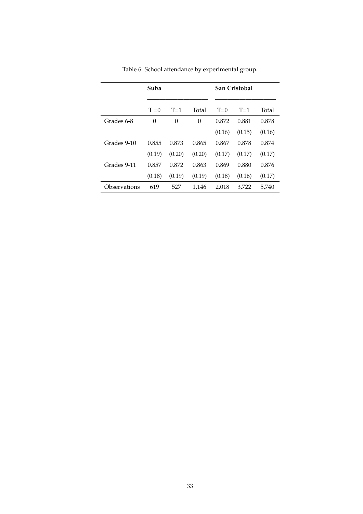|              | Suba           |          |          | San Cristobal |        |        |
|--------------|----------------|----------|----------|---------------|--------|--------|
|              | $T = 0$        | $T=1$    | Total    | $T=0$         | $T=1$  | Total  |
| Grades 6-8   | $\overline{0}$ | $\Omega$ | $\Omega$ | 0.872         | 0.881  | 0.878  |
|              |                |          |          | (0.16)        | (0.15) | (0.16) |
| Grades 9-10  | 0.855          | 0.873    | 0.865    | 0.867         | 0.878  | 0.874  |
|              | (0.19)         | (0.20)   | (0.20)   | (0.17)        | (0.17) | (0.17) |
| Grades 9-11  | 0.857          | 0.872    | 0.863    | 0.869         | 0.880  | 0.876  |
|              | (0.18)         | (0.19)   | (0.19)   | (0.18)        | (0.16) | (0.17) |
| Observations | 619            | 527      | 1,146    | 2,018         | 3,722  | 5,740  |

<span id="page-34-0"></span>Table 6: School attendance by experimental group.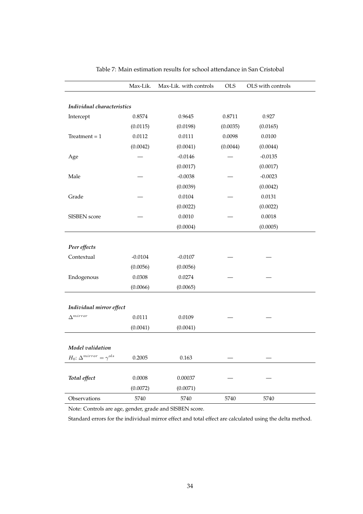|                                          | Max-Lik.  | Max-Lik. with controls | <b>OLS</b> | OLS with controls |
|------------------------------------------|-----------|------------------------|------------|-------------------|
| Individual characteristics               |           |                        |            |                   |
| Intercept                                | 0.8574    | 0.9645                 | 0.8711     | 0.927             |
|                                          | (0.0115)  | (0.0198)               | (0.0035)   | (0.0165)          |
| Treatment = $1$                          | 0.0112    | 0.0111                 | 0.0098     | 0.0100            |
|                                          | (0.0042)  | (0.0041)               | (0.0044)   | (0.0044)          |
| Age                                      |           | $-0.0146$              |            | $-0.0135$         |
|                                          |           | (0.0017)               |            | (0.0017)          |
| Male                                     |           | $-0.0038$              |            | $-0.0023$         |
|                                          |           | (0.0039)               |            | (0.0042)          |
| Grade                                    |           | 0.0104                 |            | 0.0131            |
|                                          |           | (0.0022)               |            | (0.0022)          |
| SISBEN score                             |           | 0.0010                 |            | 0.0018            |
|                                          |           | (0.0004)               |            | (0.0005)          |
|                                          |           |                        |            |                   |
| Peer effects                             |           |                        |            |                   |
| Contextual                               | $-0.0104$ | $-0.0107$              |            |                   |
|                                          | (0.0056)  | (0.0056)               |            |                   |
| Endogenous                               | 0.0308    | 0.0274                 |            |                   |
|                                          | (0.0066)  | (0.0065)               |            |                   |
|                                          |           |                        |            |                   |
| Individual mirror effect                 |           |                        |            |                   |
| $\Delta^{mirror}$                        | 0.0111    | 0.0109                 |            |                   |
|                                          | (0.0041)  | (0.0041)               |            |                   |
|                                          |           |                        |            |                   |
| Model validation                         |           |                        |            |                   |
| $H_0$ : $\Delta^{mirror} = \gamma^{ols}$ | 0.2005    | 0.163                  |            |                   |
|                                          |           |                        |            |                   |
| Total effect                             | 0.0008    | 0.00037                |            |                   |
|                                          | (0.0072)  | (0.0071)               |            |                   |
| Observations                             | 5740      | 5740                   | 5740       | 5740              |

<span id="page-35-0"></span>Table 7: Main estimation results for school attendance in San Cristobal

Note: Controls are age, gender, grade and SISBEN score.

Standard errors for the individual mirror effect and total effect are calculated using the delta method.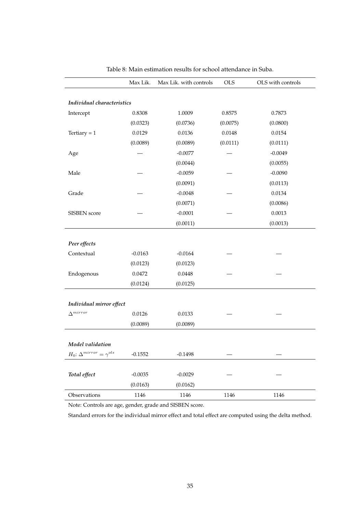|                                          | Max Lik.  | Max Lik. with controls | <b>OLS</b> | OLS with controls |
|------------------------------------------|-----------|------------------------|------------|-------------------|
|                                          |           |                        |            |                   |
| Individual characteristics               |           |                        |            |                   |
| Intercept                                | 0.8308    | 1.0009                 | 0.8575     | 0.7873            |
|                                          | (0.0323)  | (0.0736)               | (0.0075)   | (0.0800)          |
| Tertiary = $1$                           | 0.0129    | 0.0136                 | 0.0148     | 0.0154            |
|                                          | (0.0089)  | (0.0089)               | (0.0111)   | (0.0111)          |
| Age                                      |           | $-0.0077$              |            | $-0.0049$         |
|                                          |           | (0.0044)               |            | (0.0055)          |
| Male                                     |           | $-0.0059$              |            | $-0.0090$         |
|                                          |           | (0.0091)               |            | (0.0113)          |
| Grade                                    |           | $-0.0048$              |            | 0.0134            |
|                                          |           | (0.0071)               |            | (0.0086)          |
| SISBEN score                             |           | $-0.0001$              |            | 0.0013            |
|                                          |           | (0.0011)               |            | (0.0013)          |
|                                          |           |                        |            |                   |
| Peer effects                             |           |                        |            |                   |
| Contextual                               | $-0.0163$ | $-0.0164$              |            |                   |
|                                          | (0.0123)  | (0.0123)               |            |                   |
| Endogenous                               | 0.0472    | 0.0448                 |            |                   |
|                                          | (0.0124)  | (0.0125)               |            |                   |
|                                          |           |                        |            |                   |
| Individual mirror effect                 |           |                        |            |                   |
| $\Delta^{mirror}$                        | 0.0126    | 0.0133                 |            |                   |
|                                          | (0.0089)  | (0.0089)               |            |                   |
|                                          |           |                        |            |                   |
| Model validation                         |           |                        |            |                   |
| $H_0$ : $\Delta^{mirror} = \gamma^{ols}$ | $-0.1552$ | $-0.1498$              |            |                   |
|                                          |           |                        |            |                   |
| Total effect                             | $-0.0035$ | $-0.0029$              |            |                   |
|                                          | (0.0163)  | (0.0162)               |            |                   |
| Observations                             | 1146      | 1146                   | 1146       | 1146              |

<span id="page-36-0"></span>Table 8: Main estimation results for school attendance in Suba.

Note: Controls are age, gender, grade and SISBEN score.

Standard errors for the individual mirror effect and total effect are computed using the delta method.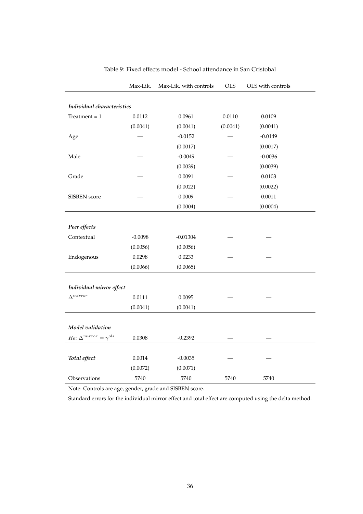|                                       | Max-Lik.  | Max-Lik. with controls | <b>OLS</b> | OLS with controls |
|---------------------------------------|-----------|------------------------|------------|-------------------|
|                                       |           |                        |            |                   |
| Individual characteristics            |           |                        |            |                   |
| Treatment = $1$                       | 0.0112    | 0.0961                 | 0.0110     | 0.0109            |
|                                       | (0.0041)  | (0.0041)               | (0.0041)   | (0.0041)          |
| Age                                   |           | $-0.0152$              |            | $-0.0149$         |
|                                       |           | (0.0017)               |            | (0.0017)          |
| Male                                  |           | $-0.0049$              |            | $-0.0036$         |
|                                       |           | (0.0039)               |            | (0.0039)          |
| Grade                                 |           | 0.0091                 |            | 0.0103            |
|                                       |           | (0.0022)               |            | (0.0022)          |
| SISBEN score                          |           | 0.0009                 |            | 0.0011            |
|                                       |           | (0.0004)               |            | (0.0004)          |
|                                       |           |                        |            |                   |
| Peer effects                          |           |                        |            |                   |
| Contextual                            | $-0.0098$ | $-0.01304$             |            |                   |
|                                       | (0.0056)  | (0.0056)               |            |                   |
| Endogenous                            | 0.0298    | 0.0233                 |            |                   |
|                                       | (0.0066)  | (0.0065)               |            |                   |
| Individual mirror effect              |           |                        |            |                   |
| $\Delta^{mirror}$                     | 0.0111    | 0.0095                 |            |                   |
|                                       | (0.0041)  | (0.0041)               |            |                   |
|                                       |           |                        |            |                   |
| Model validation                      |           |                        |            |                   |
| $H_0{:}~\Delta^{mirror}=\gamma^{ols}$ | 0.0308    | $-0.2392$              |            |                   |
| Total effect                          | 0.0014    | $-0.0035$              |            |                   |
|                                       | (0.0072)  | (0.0071)               |            |                   |
| Observations                          | 5740      | 5740                   | 5740       | 5740              |

<span id="page-37-0"></span>Table 9: Fixed effects model - School attendance in San Cristobal

Note: Controls are age, gender, grade and SISBEN score.

Standard errors for the individual mirror effect and total effect are computed using the delta method.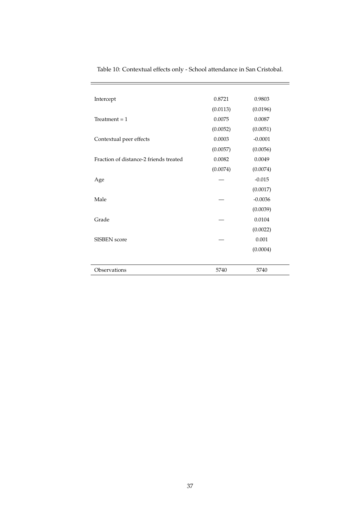| Observations                           | 5740     | 5740      |
|----------------------------------------|----------|-----------|
|                                        |          |           |
|                                        |          | (0.0004)  |
| <b>SISBEN</b> score                    |          | 0.001     |
|                                        |          | (0.0022)  |
| Grade                                  |          | 0.0104    |
|                                        |          | (0.0039)  |
| Male                                   |          | $-0.0036$ |
|                                        |          | (0.0017)  |
| Age                                    |          | $-0.015$  |
|                                        | (0.0074) | (0.0074)  |
| Fraction of distance-2 friends treated | 0.0082   | 0.0049    |
|                                        | (0.0057) | (0.0056)  |
| Contextual peer effects                | 0.0003   | $-0.0001$ |
|                                        | (0.0052) | (0.0051)  |
| Treatment $= 1$                        | 0.0075   | 0.0087    |
|                                        | (0.0113) | (0.0196)  |
| Intercept                              | 0.8721   | 0.9803    |
|                                        |          |           |

<span id="page-38-0"></span>Table 10: Contextual effects only - School attendance in San Cristobal.

 $=$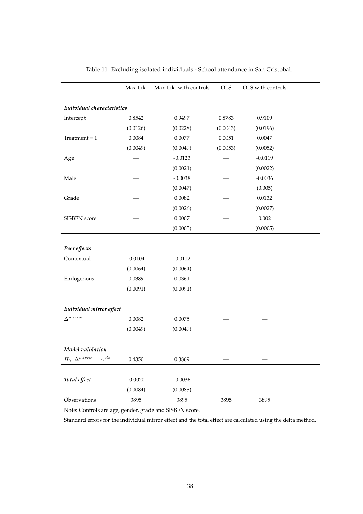|                                          | Max-Lik.  | Max-Lik. with controls | <b>OLS</b> | OLS with controls |  |  |  |
|------------------------------------------|-----------|------------------------|------------|-------------------|--|--|--|
|                                          |           |                        |            |                   |  |  |  |
| Individual characteristics               |           |                        |            |                   |  |  |  |
| Intercept                                | 0.8542    | 0.9497                 | 0.8783     | 0.9109            |  |  |  |
|                                          | (0.0126)  | (0.0228)               | (0.0043)   | (0.0196)          |  |  |  |
| Treatment $= 1$                          | 0.0084    | 0.0077                 | 0.0051     | 0.0047            |  |  |  |
|                                          | (0.0049)  | (0.0049)               | (0.0053)   | (0.0052)          |  |  |  |
| Age                                      |           | $-0.0123$              |            | $-0.0119$         |  |  |  |
|                                          |           | (0.0021)               |            | (0.0022)          |  |  |  |
| Male                                     |           | $-0.0038$              |            | $-0.0036$         |  |  |  |
|                                          |           | (0.0047)               |            | (0.005)           |  |  |  |
| Grade                                    |           | 0.0082                 |            | 0.0132            |  |  |  |
|                                          |           | (0.0026)               |            | (0.0027)          |  |  |  |
| SISBEN score                             |           | 0.0007                 |            | 0.002             |  |  |  |
|                                          |           | (0.0005)               |            | (0.0005)          |  |  |  |
|                                          |           |                        |            |                   |  |  |  |
| Peer effects                             |           |                        |            |                   |  |  |  |
| Contextual                               | $-0.0104$ | $-0.0112$              |            |                   |  |  |  |
|                                          | (0.0064)  | (0.0064)               |            |                   |  |  |  |
| Endogenous                               | 0.0389    | 0.0361                 |            |                   |  |  |  |
|                                          | (0.0091)  | (0.0091)               |            |                   |  |  |  |
|                                          |           |                        |            |                   |  |  |  |
| Individual mirror effect                 |           |                        |            |                   |  |  |  |
| $\Delta^{mirror}$                        | 0.0082    | 0.0075                 |            |                   |  |  |  |
|                                          | (0.0049)  | (0.0049)               |            |                   |  |  |  |
|                                          |           |                        |            |                   |  |  |  |
| Model validation                         |           |                        |            |                   |  |  |  |
| $H_0$ : $\Delta^{mirror} = \gamma^{ols}$ | 0.4350    | 0.3869                 |            |                   |  |  |  |
|                                          |           |                        |            |                   |  |  |  |
| Total effect                             | $-0.0020$ | $-0.0036$              |            |                   |  |  |  |
|                                          | (0.0084)  | (0.0083)               |            |                   |  |  |  |
| Observations                             | 3895      | 3895                   | 3895       | 3895              |  |  |  |

<span id="page-39-0"></span>Table 11: Excluding isolated individuals - School attendance in San Cristobal.

Note: Controls are age, gender, grade and SISBEN score.

Standard errors for the individual mirror effect and the total effect are calculated using the delta method.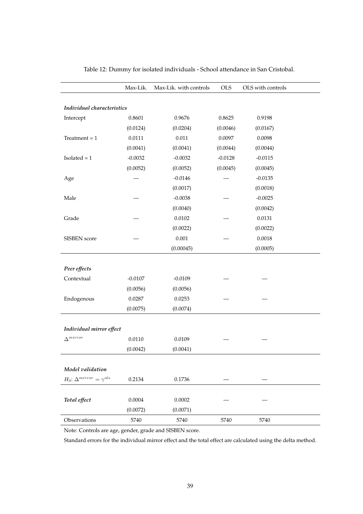|                                          | Max-Lik.  | Max-Lik. with controls | <b>OLS</b> | OLS with controls |  |  |  |  |
|------------------------------------------|-----------|------------------------|------------|-------------------|--|--|--|--|
|                                          |           |                        |            |                   |  |  |  |  |
| Individual characteristics               |           |                        |            |                   |  |  |  |  |
| Intercept                                | 0.8601    | 0.9676                 | 0.8625     | 0.9198            |  |  |  |  |
|                                          | (0.0124)  | (0.0204)               | (0.0046)   | (0.0167)          |  |  |  |  |
| Treatment $= 1$                          | 0.0111    | 0.011                  | 0.0097     | 0.0098            |  |  |  |  |
|                                          | (0.0041)  | (0.0041)               | (0.0044)   | (0.0044)          |  |  |  |  |
| $Isolated = 1$                           | $-0.0032$ | $-0.0032$              | $-0.0128$  | $-0.0115$         |  |  |  |  |
|                                          | (0.0052)  | (0.0052)               | (0.0045)   | (0.0045)          |  |  |  |  |
| Age                                      |           | $-0.0146$              |            | $-0.0135$         |  |  |  |  |
|                                          |           | (0.0017)               |            | (0.0018)          |  |  |  |  |
| Male                                     |           | $-0.0038$              |            | $-0.0025$         |  |  |  |  |
|                                          |           | (0.0040)               |            | (0.0042)          |  |  |  |  |
| Grade                                    |           | 0.0102                 |            | 0.0131            |  |  |  |  |
|                                          |           | (0.0022)               |            | (0.0022)          |  |  |  |  |
| SISBEN score                             |           | 0.001                  |            | 0.0018            |  |  |  |  |
|                                          |           | (0.00045)              |            | (0.0005)          |  |  |  |  |
|                                          |           |                        |            |                   |  |  |  |  |
| Peer effects                             |           |                        |            |                   |  |  |  |  |
| Contextual                               | $-0.0107$ | $-0.0109$              |            |                   |  |  |  |  |
|                                          | (0.0056)  | (0.0056)               |            |                   |  |  |  |  |
| Endogenous                               | 0.0287    | 0.0253                 |            |                   |  |  |  |  |
|                                          | (0.0075)  | (0.0074)               |            |                   |  |  |  |  |
|                                          |           |                        |            |                   |  |  |  |  |
| Individual mirror effect                 |           |                        |            |                   |  |  |  |  |
| $\Delta^{mirror}$                        | 0.0110    | 0.0109                 |            |                   |  |  |  |  |
|                                          | (0.0042)  | (0.0041)               |            |                   |  |  |  |  |
|                                          |           |                        |            |                   |  |  |  |  |
| Model validation                         |           |                        |            |                   |  |  |  |  |
| $H_0$ : $\Delta^{mirror} = \gamma^{ols}$ | 0.2134    | 0.1736                 |            |                   |  |  |  |  |
|                                          |           |                        |            |                   |  |  |  |  |
| Total effect                             | 0.0004    | 0.0002                 |            |                   |  |  |  |  |
|                                          | (0.0072)  | (0.0071)               |            |                   |  |  |  |  |
| Observations                             | 5740      | 5740                   | 5740       | 5740              |  |  |  |  |

<span id="page-40-0"></span>Table 12: Dummy for isolated individuals - School attendance in San Cristobal.

Note: Controls are age, gender, grade and SISBEN score.

Standard errors for the individual mirror effect and the total effect are calculated using the delta method.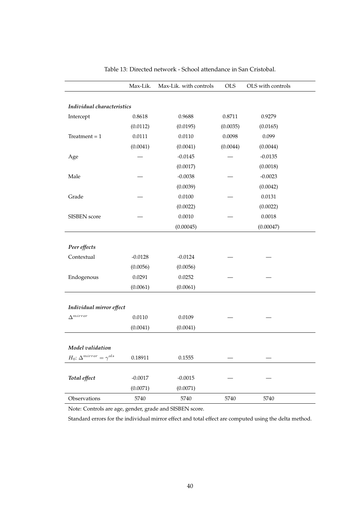|                                          | Max-Lik.  | Max-Lik. with controls | <b>OLS</b> | OLS with controls |
|------------------------------------------|-----------|------------------------|------------|-------------------|
| Individual characteristics               |           |                        |            |                   |
| Intercept                                | 0.8618    | 0.9688                 | 0.8711     | 0.9279            |
|                                          | (0.0112)  | (0.0195)               | (0.0035)   | (0.0165)          |
| Treatment = $1$                          | 0.0111    | 0.0110                 | 0.0098     | 0.099             |
|                                          | (0.0041)  | (0.0041)               | (0.0044)   | (0.0044)          |
| Age                                      |           | $-0.0145$              |            | $-0.0135$         |
|                                          |           | (0.0017)               |            | (0.0018)          |
| Male                                     |           | $-0.0038$              |            | $-0.0023$         |
|                                          |           | (0.0039)               |            | (0.0042)          |
| Grade                                    |           | 0.0100                 |            | 0.0131            |
|                                          |           | (0.0022)               |            | (0.0022)          |
| SISBEN score                             |           | 0.0010                 |            | 0.0018            |
|                                          |           | (0.00045)              |            | (0.00047)         |
|                                          |           |                        |            |                   |
| Peer effects                             |           |                        |            |                   |
| Contextual                               | $-0.0128$ | $-0.0124$              |            |                   |
|                                          | (0.0056)  | (0.0056)               |            |                   |
| Endogenous                               | 0.0291    | 0.0252                 |            |                   |
|                                          | (0.0061)  | (0.0061)               |            |                   |
|                                          |           |                        |            |                   |
| Individual mirror effect                 |           |                        |            |                   |
| $\Delta^{mirror}$                        | 0.0110    | 0.0109                 |            |                   |
|                                          | (0.0041)  | (0.0041)               |            |                   |
| Model validation                         |           |                        |            |                   |
| $H_0$ : $\Delta^{mirror} = \gamma^{ols}$ | 0.18911   | 0.1555                 |            |                   |
|                                          |           |                        |            |                   |
| Total effect                             | $-0.0017$ | $-0.0015$              |            |                   |
|                                          | (0.0071)  | (0.0071)               |            |                   |
| Observations                             | 5740      | 5740                   | 5740       | 5740              |

<span id="page-41-0"></span>Table 13: Directed network - School attendance in San Cristobal.

Note: Controls are age, gender, grade and SISBEN score.

Standard errors for the individual mirror effect and total effect are computed using the delta method.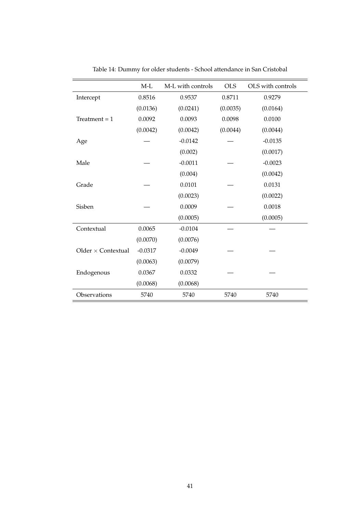|                           | $M-L$     | M-L with controls | <b>OLS</b> | OLS with controls |
|---------------------------|-----------|-------------------|------------|-------------------|
| Intercept                 | 0.8516    | 0.9537            | 0.8711     | 0.9279            |
|                           | (0.0136)  | (0.0241)          | (0.0035)   | (0.0164)          |
| Treatment = $1$           | 0.0092    | 0.0093            | 0.0098     | 0.0100            |
|                           | (0.0042)  | (0.0042)          | (0.0044)   | (0.0044)          |
| Age                       |           | $-0.0142$         |            | $-0.0135$         |
|                           |           | (0.002)           |            | (0.0017)          |
| Male                      |           | $-0.0011$         |            | $-0.0023$         |
|                           |           | (0.004)           |            | (0.0042)          |
| Grade                     |           | 0.0101            |            | 0.0131            |
|                           |           | (0.0023)          |            | (0.0022)          |
| Sisben                    |           | 0.0009            |            | 0.0018            |
|                           |           | (0.0005)          |            | (0.0005)          |
| Contextual                | 0.0065    | $-0.0104$         |            |                   |
|                           | (0.0070)  | (0.0076)          |            |                   |
| Older $\times$ Contextual | $-0.0317$ | $-0.0049$         |            |                   |
|                           | (0.0063)  | (0.0079)          |            |                   |
| Endogenous                | 0.0367    | 0.0332            |            |                   |
|                           | (0.0068)  | (0.0068)          |            |                   |
| Observations              | 5740      | 5740              | 5740       | 5740              |

<span id="page-42-0"></span>Table 14: Dummy for older students - School attendance in San Cristobal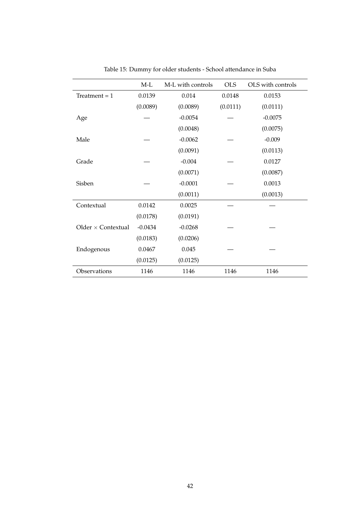|                           | $M-L$     | M-L with controls | <b>OLS</b> | OLS with controls |
|---------------------------|-----------|-------------------|------------|-------------------|
| Treatment = $1$           | 0.0139    | 0.014             | 0.0148     | 0.0153            |
|                           | (0.0089)  | (0.0089)          | (0.0111)   | (0.0111)          |
| Age                       |           | $-0.0054$         |            | $-0.0075$         |
|                           |           | (0.0048)          |            | (0.0075)          |
| Male                      |           | $-0.0062$         |            | $-0.009$          |
|                           |           | (0.0091)          |            | (0.0113)          |
| Grade                     |           | $-0.004$          |            | 0.0127            |
|                           |           | (0.0071)          |            | (0.0087)          |
| Sisben                    |           | $-0.0001$         |            | 0.0013            |
|                           |           | (0.0011)          |            | (0.0013)          |
| Contextual                | 0.0142    | 0.0025            |            |                   |
|                           | (0.0178)  | (0.0191)          |            |                   |
| Older $\times$ Contextual | $-0.0434$ | $-0.0268$         |            |                   |
|                           | (0.0183)  | (0.0206)          |            |                   |
| Endogenous                | 0.0467    | 0.045             |            |                   |
|                           | (0.0125)  | (0.0125)          |            |                   |
| Observations              | 1146      | 1146              | 1146       | 1146              |

<span id="page-43-0"></span>Table 15: Dummy for older students - School attendance in Suba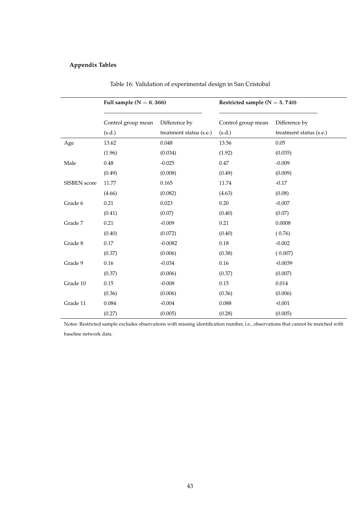## **Appendix Tables**

|              | Full sample $(N = 6, 366)$ |                         | Restricted sample ( $N = 5,740$ ) |                         |  |
|--------------|----------------------------|-------------------------|-----------------------------------|-------------------------|--|
|              | Control group mean         | Difference by           | Control group mean                | Difference by           |  |
|              | (s.d.)                     | treatment status (s.e.) | (s.d.)                            | treatment status (s.e.) |  |
| Age          | 13.62                      | 0.048                   | 13.56                             | 0.05                    |  |
|              | (1.96)                     | (0.034)                 | (1.92)                            | (0.035)                 |  |
| Male         | 0.48                       | $-0.025$                | $0.47\,$                          | $-0.009$                |  |
|              | (0.49)                     | (0.008)                 | (0.49)                            | (0.009)                 |  |
| SISBEN score | 11.77                      | 0.165                   | 11.74                             | $-0.17$                 |  |
|              | (4.66)                     | (0.082)                 | (4.63)                            | (0.08)                  |  |
| Grade 6      | 0.21                       | 0.023                   | 0.20                              | $-0.007$                |  |
|              | (0.41)                     | (0.07)                  | (0.40)                            | (0.07)                  |  |
| Grade 7      | 0.21                       | $-0.009$                | 0.21                              | 0.0008                  |  |
|              | (0.40)                     | (0.072)                 | (0.40)                            | (0.76)                  |  |
| Grade 8      | $0.17\,$                   | $-0.0082$               | $0.18\,$                          | $-0.002$                |  |
|              | (0.37)                     | (0.006)                 | (0.38)                            | (0.007)                 |  |
| Grade 9      | 0.16                       | $-0.034$                | 0.16                              | $-0.0039$               |  |
|              | (0.37)                     | (0.006)                 | (0.37)                            | (0.007)                 |  |
| Grade 10     | 0.15                       | $-0.008$                | 0.15                              | 0.014                   |  |
|              | (0.36)                     | (0.006)                 | (0.36)                            | (0.006)                 |  |
| Grade 11     | 0.084                      | $-0.004$                | 0.088                             | $-0.001$                |  |
|              | (0.27)                     | (0.005)                 | (0.28)                            | (0.005)                 |  |

|  | Table 16: Validation of experimental design in San Cristobal |  |  |
|--|--------------------------------------------------------------|--|--|
|  |                                                              |  |  |

Notes: Restricted sample excludes observations with missing identification number, i.e., observations that cannot be matched with baseline network data.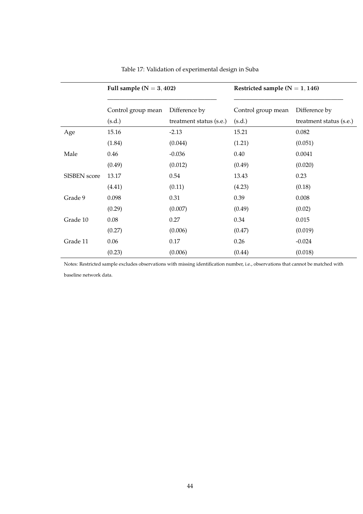|                     | Full sample $(N = 3, 402)$ |                         | Restricted sample $(N = 1, 146)$ |                         |  |  |
|---------------------|----------------------------|-------------------------|----------------------------------|-------------------------|--|--|
|                     | Control group mean         | Difference by           | Control group mean               | Difference by           |  |  |
|                     | (s.d.)                     | treatment status (s.e.) | (s.d.)                           | treatment status (s.e.) |  |  |
| Age                 | 15.16                      | $-2.13$                 | 15.21                            | 0.082                   |  |  |
|                     | (1.84)                     | (0.044)                 | (1.21)                           | (0.051)                 |  |  |
| Male                | 0.46                       | $-0.036$                | 0.40                             | 0.0041                  |  |  |
|                     | (0.49)                     | (0.012)                 | (0.49)                           | (0.020)                 |  |  |
| <b>SISBEN</b> score | 13.17                      | 0.54                    | 13.43                            | 0.23                    |  |  |
|                     | (4.41)                     | (0.11)                  | (4.23)                           | (0.18)                  |  |  |
| Grade 9             | 0.098                      | 0.31                    | 0.39                             | 0.008                   |  |  |
|                     | (0.29)                     | (0.007)                 | (0.49)                           | (0.02)                  |  |  |
| Grade 10            | 0.08                       | 0.27                    | 0.34                             | 0.015                   |  |  |
|                     | (0.27)                     | (0.006)                 | (0.47)                           | (0.019)                 |  |  |
| Grade 11            | 0.06                       | 0.17                    | 0.26                             | $-0.024$                |  |  |
|                     | (0.23)                     | (0.006)                 | (0.44)                           | (0.018)                 |  |  |

Table 17: Validation of experimental design in Suba

Notes: Restricted sample excludes observations with missing identification number, i.e., observations that cannot be matched with baseline network data.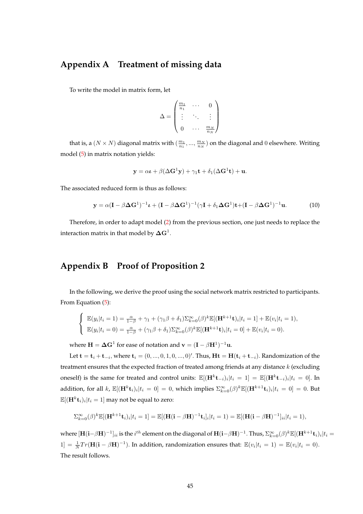## <span id="page-46-0"></span>**Appendix A Treatment of missing data**

To write the model in matrix form, let

$$
\Delta = \begin{pmatrix} \frac{m_1}{n_1} & \cdots & 0 \\ \vdots & \ddots & \vdots \\ 0 & \cdots & \frac{m_N}{n_N} \end{pmatrix}
$$

that is, a  $(N \times N)$  diagonal matrix with  $(\frac{m_1}{n_1},...,\frac{m_N}{n_N})$  on the diagonal and  $0$  elsewhere. Writing model [\(5\)](#page-12-1) in matrix notation yields:

$$
\mathbf{y} = \alpha \boldsymbol{\iota} + \beta (\Delta \mathbf{G}^1 \mathbf{y}) + \gamma_1 \mathbf{t} + \delta_1 (\Delta \mathbf{G}^1 \mathbf{t}) + \mathbf{u}.
$$

The associated reduced form is thus as follows:

$$
\mathbf{y} = \alpha (\mathbf{I} - \beta \Delta \mathbf{G}^{1})^{-1} \boldsymbol{\iota} + (\mathbf{I} - \beta \Delta \mathbf{G}^{1})^{-1} (\gamma \mathbf{I} + \delta_{1} \Delta \mathbf{G}^{1}) \mathbf{t} + (\mathbf{I} - \beta \Delta \mathbf{G}^{1})^{-1} \mathbf{u}.
$$
 (10)

Therefore, in order to adapt model [\(2\)](#page-9-0) from the previous section, one just needs to replace the interaction matrix in that model by  $\boldsymbol{\Delta} \mathbf{G}^1.$ 

## <span id="page-46-1"></span>**Appendix B Proof of Proposition 2**

 $\overline{ }$ 

In the following, we derive the proof using the social network matrix restricted to participants. From Equation [\(5\)](#page-12-1):

$$
\begin{cases}\n\mathbb{E}(y_i|t_i=1) = \frac{\alpha}{1-\beta} + \gamma_1 + (\gamma_1\beta + \delta_1)\sum_{k=0}^{\infty}(\beta)^k \mathbb{E}[(\mathbf{H}^{k+1}\mathbf{t})_i|t_i=1] + \mathbb{E}(v_i|t_i=1), \\
\mathbb{E}(y_i|t_i=0) = \frac{\alpha}{1-\beta} + (\gamma_1\beta + \delta_1)\sum_{k=0}^{\infty}(\beta)^k \mathbb{E}[(\mathbf{H}^{k+1}\mathbf{t})_i|t_i=0] + \mathbb{E}(v_i|t_i=0).\n\end{cases}
$$

where  $\mathbf{H} = \boldsymbol{\Delta} \mathbf{G}^1$  for ease of notation and  $\mathbf{v} = (\mathbf{I} - \beta \mathbf{H}^1)^{-1} \mathbf{u}$ .

Let  $\mathbf{t} = \mathbf{t}_i + \mathbf{t}_{-i}$ , where  $\mathbf{t}_i = (0, ..., 0, 1, 0, ..., 0)'$ . Thus,  $\mathbf{H} \mathbf{t} = \mathbf{H}(\mathbf{t}_i + \mathbf{t}_{-i})$ . Randomization of the treatment ensures that the expected fraction of treated among friends at any distance  $k$  (excluding oneself) is the same for treated and control units:  $\mathbb{E}[(\mathbf{H}^k \mathbf{t}_{-i})_i | t_i = 1] = \mathbb{E}[(\mathbf{H}^k \mathbf{t}_{-i})_i | t_i = 0]$ . In addition, for all k,  $\mathbb{E}[(\mathbf{H}^k \mathbf{t}_i)_i | t_i = 0] = 0$ , which implies  $\sum_{k=0}^{\infty} (\beta)^k \mathbb{E}[(\mathbf{H}^{k+1} \mathbf{t}_i)_i | t_i = 0] = 0$ . But  $\mathbb{E}[({\bf H}^k {\bf t}_i)_i| t_i = 1]$  may not be equal to zero:

$$
\sum_{k=0}^{\infty}(\beta)^k \mathbb{E}[(\mathbf{H}^{k+1}\mathbf{t}_i)_i|t_i=1]=\mathbb{E}[(\mathbf{H}(\mathbf{i}-\beta\mathbf{H})^{-1}\mathbf{t}_i]_i|t_i=1)=\mathbb{E}[(\mathbf{H}(\mathbf{i}-\beta\mathbf{H})^{-1}]_{ii}|t_i=1),
$$

where  $[\mathbf{H}(\mathbf{i} - \beta \mathbf{H})^{-1}]_{ii}$  is the  $i^{th}$  element on the diagonal of  $\mathbf{H}(\mathbf{i} - \beta \mathbf{H})^{-1}$ . Thus,  $\Sigma_{k=0}^{\infty}(\beta)^{k}\mathbb{E}[(\mathbf{H}^{k+1}\mathbf{t}_{i})_{i}|t_{i} =$  $1] = \frac{1}{N} Tr(\mathbf{H}(\mathbf{i} - \beta \mathbf{H})^{-1})$ . In addition, randomization ensures that:  $\mathbb{E}(v_i | t_i = 1) = \mathbb{E}(v_i | t_i = 0)$ . The result follows.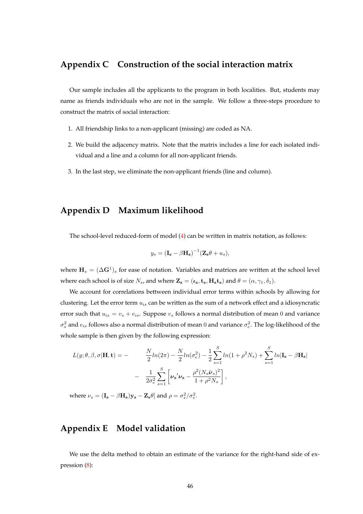## <span id="page-47-0"></span>**Appendix C Construction of the social interaction matrix**

Our sample includes all the applicants to the program in both localities. But, students may name as friends individuals who are not in the sample. We follow a three-steps procedure to construct the matrix of social interaction:

- 1. All friendship links to a non-applicant (missing) are coded as NA.
- 2. We build the adjacency matrix. Note that the matrix includes a line for each isolated individual and a line and a column for all non-applicant friends.
- 3. In the last step, we eliminate the non-applicant friends (line and column).

### <span id="page-47-1"></span>**Appendix D Maximum likelihood**

The school-level reduced-form of model [\(4\)](#page-10-0) can be written in matrix notation, as follows:

$$
y_s = (\mathbf{I_s} - \beta \mathbf{H_s})^{-1} (\mathbf{Z_s} \theta + u_s),
$$

where  $\mathbf{H}_s = (\Delta \mathbf{G}^1)_s$  for ease of notation. Variables and matrices are written at the school level where each school is of size  $N_s$ , and where  $\mathbf{Z_s} = (\boldsymbol{\iota_s}, \mathbf{t_s}, \mathbf{H_s t_s})$  and  $\theta = (\alpha, \gamma_1, \delta_1)$ .

We account for correlations bettween individual error terms within schools by allowing for clustering. Let the error term  $u_{is}$  can be written as the sum of a network effect and a idiosyncratic error such that  $u_{is} = v_s + e_{is}$ . Suppose  $v_s$  follows a normal distribution of mean 0 and variance  $\sigma_s^2$  and  $e_{is}$  follows also a normal distribution of mean 0 and variance  $\sigma_e^2$ . The log-likelihood of the whole sample is then given by the following expression:

$$
L(y; \theta, \beta, \sigma | \mathbf{H}, \mathbf{t}) = -\frac{N}{2} ln(2\pi) - \frac{N}{2} ln(\sigma_e^2) - \frac{1}{2} \sum_{s=1}^{S} ln(1 + \rho^2 N_s) + \sum_{s=1}^{S} ln|\mathbf{I_s} - \beta \mathbf{H_s}|
$$

$$
-\frac{1}{2\sigma_e^2} \sum_{s=1}^{S} \left[ \nu_s' \nu_s - \frac{\rho^2 (N_s \bar{\nu}_s)^2}{1 + \rho^2 N_s} \right],
$$

where  $\nu_s = (\mathbf{I_s} - \beta \mathbf{H_s}) \mathbf{y_s} - \mathbf{Z_s} \theta$  and  $\rho = \sigma_s^2 / \sigma_e^2$ .

### <span id="page-47-2"></span>**Appendix E Model validation**

We use the delta method to obtain an estimate of the variance for the right-hand side of expression [\(8\)](#page-14-0):